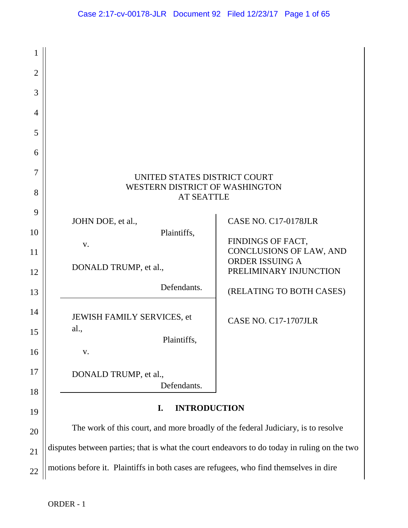| 1              |                                                                                             |                                                                      |  |
|----------------|---------------------------------------------------------------------------------------------|----------------------------------------------------------------------|--|
| $\overline{2}$ |                                                                                             |                                                                      |  |
| 3              |                                                                                             |                                                                      |  |
| $\overline{4}$ |                                                                                             |                                                                      |  |
| 5              |                                                                                             |                                                                      |  |
| 6              |                                                                                             |                                                                      |  |
| 7<br>8         | UNITED STATES DISTRICT COURT<br>WESTERN DISTRICT OF WASHINGTON<br><b>AT SEATTLE</b>         |                                                                      |  |
| 9<br>10<br>11  | JOHN DOE, et al.,<br>Plaintiffs,<br>V.                                                      | CASE NO. C17-0178JLR<br>FINDINGS OF FACT,<br>CONCLUSIONS OF LAW, AND |  |
| 12             | DONALD TRUMP, et al.,                                                                       | ORDER ISSUING A<br>PRELIMINARY INJUNCTION                            |  |
| 13             | Defendants.                                                                                 | (RELATING TO BOTH CASES)                                             |  |
| 14<br>15       | JEWISH FAMILY SERVICES, et<br>al.,<br>Plaintiffs,                                           | CASE NO. C17-1707JLR                                                 |  |
| 16             | V.                                                                                          |                                                                      |  |
| 17<br>18       | DONALD TRUMP, et al.,<br>Defendants.                                                        |                                                                      |  |
| 19             | <b>INTRODUCTION</b><br>I.                                                                   |                                                                      |  |
| 20             | The work of this court, and more broadly of the federal Judiciary, is to resolve            |                                                                      |  |
| 21             | disputes between parties; that is what the court endeavors to do today in ruling on the two |                                                                      |  |
| 22             | motions before it. Plaintiffs in both cases are refugees, who find themselves in dire       |                                                                      |  |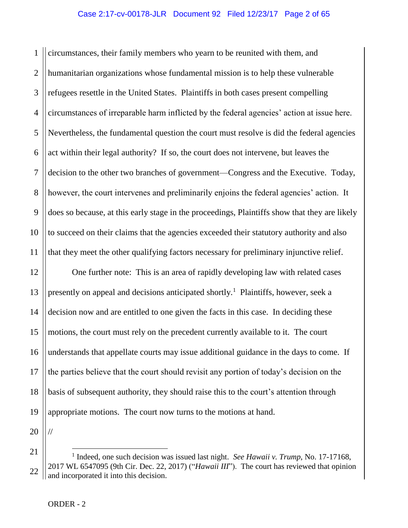1 2 3 4 5 6 7 8 9 10 11 circumstances, their family members who yearn to be reunited with them, and humanitarian organizations whose fundamental mission is to help these vulnerable refugees resettle in the United States. Plaintiffs in both cases present compelling circumstances of irreparable harm inflicted by the federal agencies' action at issue here. Nevertheless, the fundamental question the court must resolve is did the federal agencies act within their legal authority? If so, the court does not intervene, but leaves the decision to the other two branches of government—Congress and the Executive. Today, however, the court intervenes and preliminarily enjoins the federal agencies' action. It does so because, at this early stage in the proceedings, Plaintiffs show that they are likely to succeed on their claims that the agencies exceeded their statutory authority and also that they meet the other qualifying factors necessary for preliminary injunctive relief.

12 13 14 15 16 17 18 19 One further note: This is an area of rapidly developing law with related cases presently on appeal and decisions anticipated shortly.<sup>1</sup> Plaintiffs, however, seek a decision now and are entitled to one given the facts in this case. In deciding these motions, the court must rely on the precedent currently available to it. The court understands that appellate courts may issue additional guidance in the days to come. If the parties believe that the court should revisit any portion of today's decision on the basis of subsequent authority, they should raise this to the court's attention through appropriate motions. The court now turns to the motions at hand.

20

//

21

22

 $\overline{a}$ <sup>1</sup> Indeed, one such decision was issued last night. *See Hawaii v. Trump*, No. 17-17168, 2017 WL 6547095 (9th Cir. Dec. 22, 2017) ("*Hawaii III*"). The court has reviewed that opinion and incorporated it into this decision.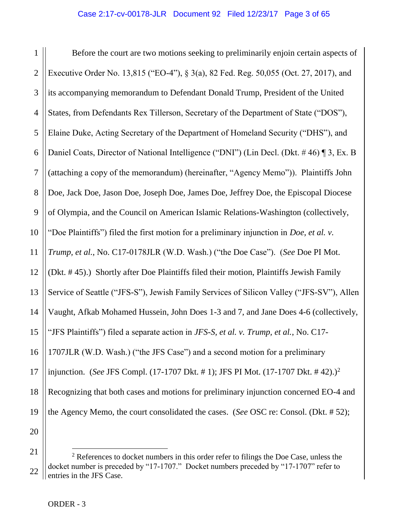1 2 3 4 5 6 7 8 9 10 11 12 13 14 15 16 17 18 19 20 Before the court are two motions seeking to preliminarily enjoin certain aspects of Executive Order No. 13,815 ("EO-4"), § 3(a), 82 Fed. Reg. 50,055 (Oct. 27, 2017), and its accompanying memorandum to Defendant Donald Trump, President of the United States, from Defendants Rex Tillerson, Secretary of the Department of State ("DOS"), Elaine Duke, Acting Secretary of the Department of Homeland Security ("DHS"), and Daniel Coats, Director of National Intelligence ("DNI") (Lin Decl. (Dkt. # 46) ¶ 3, Ex. B (attaching a copy of the memorandum) (hereinafter, "Agency Memo")). Plaintiffs John Doe, Jack Doe, Jason Doe, Joseph Doe, James Doe, Jeffrey Doe, the Episcopal Diocese of Olympia, and the Council on American Islamic Relations-Washington (collectively, "Doe Plaintiffs") filed the first motion for a preliminary injunction in *Doe, et al. v. Trump, et al.*, No. C17-0178JLR (W.D. Wash.) ("the Doe Case"). (*See* Doe PI Mot. (Dkt. # 45).) Shortly after Doe Plaintiffs filed their motion, Plaintiffs Jewish Family Service of Seattle ("JFS-S"), Jewish Family Services of Silicon Valley ("JFS-SV"), Allen Vaught, Afkab Mohamed Hussein, John Does 1-3 and 7, and Jane Does 4-6 (collectively, "JFS Plaintiffs") filed a separate action in *JFS-S, et al. v. Trump, et al.*, No. C17- 1707JLR (W.D. Wash.) ("the JFS Case") and a second motion for a preliminary injunction. (*See* JFS Compl. (17-1707 Dkt. # 1); JFS PI Mot. (17-1707 Dkt. # 42).)<sup>2</sup> Recognizing that both cases and motions for preliminary injunction concerned EO-4 and the Agency Memo, the court consolidated the cases. (*See* OSC re: Consol. (Dkt. # 52);

<sup>21</sup> 22  $2^2$  References to docket numbers in this order refer to filings the Doe Case, unless the docket number is preceded by "17-1707." Docket numbers preceded by "17-1707" refer to entries in the JFS Case.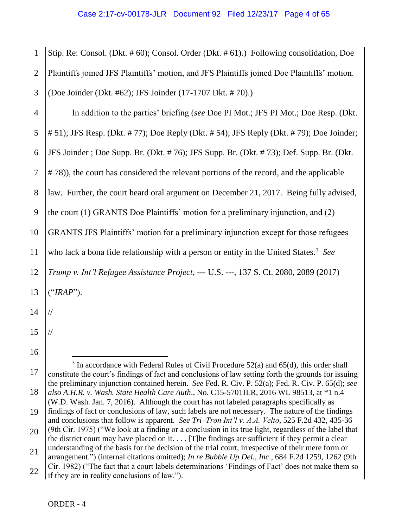1 2 3 Stip. Re: Consol. (Dkt. # 60); Consol. Order (Dkt. # 61).) Following consolidation, Doe Plaintiffs joined JFS Plaintiffs' motion, and JFS Plaintiffs joined Doe Plaintiffs' motion. (Doe Joinder (Dkt. #62); JFS Joinder (17-1707 Dkt. # 70).)

4 5 6 7 8 9 10 11 12 13 14 In addition to the parties' briefing (*see* Doe PI Mot.; JFS PI Mot.; Doe Resp. (Dkt. # 51); JFS Resp. (Dkt. # 77); Doe Reply (Dkt. # 54); JFS Reply (Dkt. # 79); Doe Joinder; JFS Joinder ; Doe Supp. Br. (Dkt. # 76); JFS Supp. Br. (Dkt. # 73); Def. Supp. Br. (Dkt. # 78)), the court has considered the relevant portions of the record, and the applicable law. Further, the court heard oral argument on December 21, 2017. Being fully advised, the court (1) GRANTS Doe Plaintiffs' motion for a preliminary injunction, and (2) GRANTS JFS Plaintiffs' motion for a preliminary injunction except for those refugees who lack a bona fide relationship with a person or entity in the United States.<sup>3</sup> See *Trump v. Int'l Refugee Assistance Project*, --- U.S. ---, 137 S. Ct. 2080, 2089 (2017) ("*IRAP*"). //

15 16 //

17

 $\overline{a}$ <sup>3</sup> In accordance with Federal Rules of Civil Procedure 52(a) and 65(d), this order shall constitute the court's findings of fact and conclusions of law setting forth the grounds for issuing the preliminary injunction contained herein. *See* Fed. R. Civ. P. 52(a); Fed. R. Civ. P. 65(d); *see also A.H.R. v. Wash. State Health Care Auth*., No. C15-5701JLR, 2016 WL 98513, at \*1 n.4

<sup>18</sup> 19 (W.D. Wash. Jan. 7, 2016). Although the court has not labeled paragraphs specifically as findings of fact or conclusions of law, such labels are not necessary. The nature of the findings

<sup>20</sup> and conclusions that follow is apparent. *See Tri–Tron Int'l v. A.A. Velto*, 525 F.2d 432, 435-36 (9th Cir. 1975) ("We look at a finding or a conclusion in its true light, regardless of the label that

<sup>21</sup> the district court may have placed on it.  $\ldots$  [T]he findings are sufficient if they permit a clear understanding of the basis for the decision of the trial court, irrespective of their mere form or

arrangement.") (internal citations omitted); *In re Bubble Up Del., Inc*., 684 F.2d 1259, 1262 (9th Cir. 1982) ("The fact that a court labels determinations 'Findings of Fact' does not make them so

<sup>22</sup> if they are in reality conclusions of law.").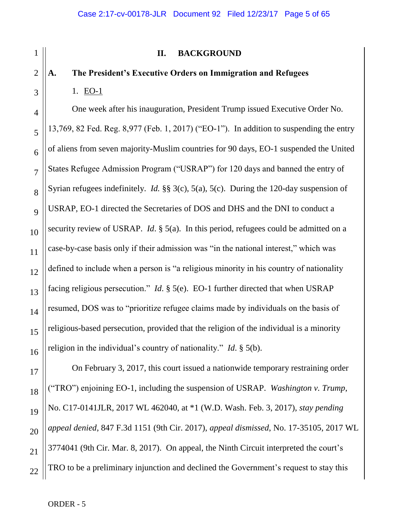# **II. BACKGROUND**

# **A. The President's Executive Orders on Immigration and Refugees** 1. EO-1

One week after his inauguration, President Trump issued Executive Order No. 13,769, 82 Fed. Reg. 8,977 (Feb. 1, 2017) ("EO-1"). In addition to suspending the entry of aliens from seven majority-Muslim countries for 90 days, EO-1 suspended the United States Refugee Admission Program ("USRAP") for 120 days and banned the entry of Syrian refugees indefinitely. *Id.* §§ 3(c), 5(a), 5(c). During the 120-day suspension of USRAP, EO-1 directed the Secretaries of DOS and DHS and the DNI to conduct a security review of USRAP. *Id*. § 5(a). In this period, refugees could be admitted on a case-by-case basis only if their admission was "in the national interest," which was defined to include when a person is "a religious minority in his country of nationality facing religious persecution." *Id*. § 5(e). EO-1 further directed that when USRAP resumed, DOS was to "prioritize refugee claims made by individuals on the basis of religious-based persecution, provided that the religion of the individual is a minority religion in the individual's country of nationality." *Id*. § 5(b).

On February 3, 2017, this court issued a nationwide temporary restraining order ("TRO") enjoining EO-1, including the suspension of USRAP. *Washington v. Trump*, No. C17-0141JLR, 2017 WL 462040, at \*1 (W.D. Wash. Feb. 3, 2017), *stay pending appeal denied*, 847 F.3d 1151 (9th Cir. 2017), *appeal dismissed*, No. 17-35105, 2017 WL 3774041 (9th Cir. Mar. 8, 2017). On appeal, the Ninth Circuit interpreted the court's TRO to be a preliminary injunction and declined the Government's request to stay this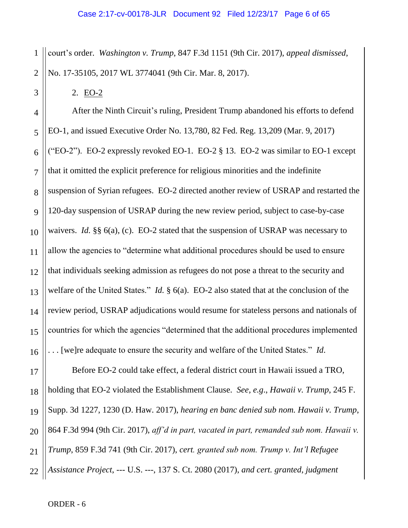1 2 court's order. *Washington v. Trump*, 847 F.3d 1151 (9th Cir. 2017), *appeal dismissed*, No. 17-35105, 2017 WL 3774041 (9th Cir. Mar. 8, 2017).

2. EO-2

3

4 5 6 7 8 9 10 11 12 13 14 15 16 After the Ninth Circuit's ruling, President Trump abandoned his efforts to defend EO-1, and issued Executive Order No. 13,780, 82 Fed. Reg. 13,209 (Mar. 9, 2017) ("EO-2"). EO-2 expressly revoked EO-1. EO-2  $\S$  13. EO-2 was similar to EO-1 except that it omitted the explicit preference for religious minorities and the indefinite suspension of Syrian refugees. EO-2 directed another review of USRAP and restarted the 120-day suspension of USRAP during the new review period, subject to case-by-case waivers. *Id.* §§ 6(a), (c). EO-2 stated that the suspension of USRAP was necessary to allow the agencies to "determine what additional procedures should be used to ensure that individuals seeking admission as refugees do not pose a threat to the security and welfare of the United States." *Id.* § 6(a). EO-2 also stated that at the conclusion of the review period, USRAP adjudications would resume for stateless persons and nationals of countries for which the agencies "determined that the additional procedures implemented . . . [we]re adequate to ensure the security and welfare of the United States." *Id*.

17 18 19 20 21 22 Before EO-2 could take effect, a federal district court in Hawaii issued a TRO, holding that EO-2 violated the Establishment Clause. *See, e.g*., *Hawaii v. Trump*, 245 F. Supp. 3d 1227, 1230 (D. Haw. 2017), *hearing en banc denied sub nom. Hawaii v. Trump*, 864 F.3d 994 (9th Cir. 2017), *aff'd in part, vacated in part, remanded sub nom. Hawaii v. Trump*, 859 F.3d 741 (9th Cir. 2017), *cert. granted sub nom. Trump v. Int'l Refugee Assistance Project*, --- U.S. ---, 137 S. Ct. 2080 (2017), *and cert. granted, judgment*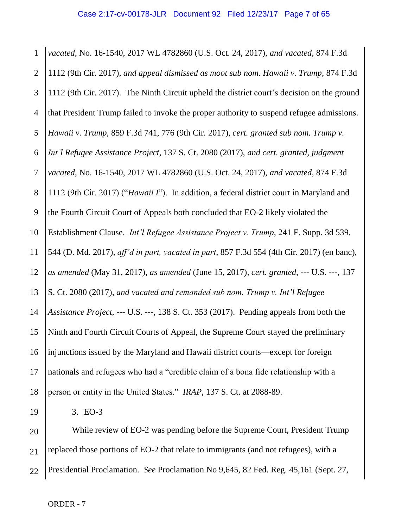1 2 3 4 5 6 7 8 9 10 11 12 13 14 15 16 17 18 *vacated*, No. 16-1540, 2017 WL 4782860 (U.S. Oct. 24, 2017), *and vacated*, 874 F.3d 1112 (9th Cir. 2017), *and appeal dismissed as moot sub nom. Hawaii v. Trump*, 874 F.3d 1112 (9th Cir. 2017). The Ninth Circuit upheld the district court's decision on the ground that President Trump failed to invoke the proper authority to suspend refugee admissions. *Hawaii v. Trump*, 859 F.3d 741, 776 (9th Cir. 2017), *cert. granted sub nom. Trump v. Int'l Refugee Assistance Project*, 137 S. Ct. 2080 (2017), *and cert. granted, judgment vacated*, No. 16-1540, 2017 WL 4782860 (U.S. Oct. 24, 2017), *and vacated*, 874 F.3d 1112 (9th Cir. 2017) ("*Hawaii I*"). In addition, a federal district court in Maryland and the Fourth Circuit Court of Appeals both concluded that EO-2 likely violated the Establishment Clause. *Int'l Refugee Assistance Project v. Trump*, 241 F. Supp. 3d 539, 544 (D. Md. 2017), *aff'd in part, vacated in part*, 857 F.3d 554 (4th Cir. 2017) (en banc), *as amended* (May 31, 2017), *as amended* (June 15, 2017), *cert. granted*, --- U.S. ---, 137 S. Ct. 2080 (2017), *and vacated and remanded sub nom. Trump v. Int'l Refugee Assistance Project*, --- U.S. ---, 138 S. Ct. 353 (2017). Pending appeals from both the Ninth and Fourth Circuit Courts of Appeal, the Supreme Court stayed the preliminary injunctions issued by the Maryland and Hawaii district courts—except for foreign nationals and refugees who had a "credible claim of a bona fide relationship with a person or entity in the United States." *IRAP*, 137 S. Ct. at 2088-89.

19

3. EO-3

20 21 22 While review of EO-2 was pending before the Supreme Court, President Trump replaced those portions of EO-2 that relate to immigrants (and not refugees), with a Presidential Proclamation. *See* Proclamation No 9,645, 82 Fed. Reg. 45,161 (Sept. 27,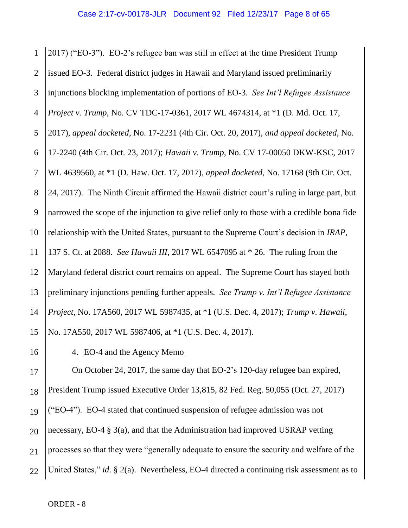1 2 3 4 5 6 7 8 9 10 11 12 13 14 15 2017) ("EO-3"). EO-2's refugee ban was still in effect at the time President Trump issued EO-3. Federal district judges in Hawaii and Maryland issued preliminarily injunctions blocking implementation of portions of EO-3. *See Int'l Refugee Assistance Project v. Trump*, No. CV TDC-17-0361, 2017 WL 4674314, at \*1 (D. Md. Oct. 17, 2017), *appeal docketed*, No. 17-2231 (4th Cir. Oct. 20, 2017), *and appeal docketed*, No. 17-2240 (4th Cir. Oct. 23, 2017); *Hawaii v. Trump*, No. CV 17-00050 DKW-KSC, 2017 WL 4639560, at \*1 (D. Haw. Oct. 17, 2017), *appeal docketed*, No. 17168 (9th Cir. Oct. 24, 2017). The Ninth Circuit affirmed the Hawaii district court's ruling in large part, but narrowed the scope of the injunction to give relief only to those with a credible bona fide relationship with the United States, pursuant to the Supreme Court's decision in *IRAP*, 137 S. Ct. at 2088. *See Hawaii III*, 2017 WL 6547095 at \* 26. The ruling from the Maryland federal district court remains on appeal. The Supreme Court has stayed both preliminary injunctions pending further appeals. *See Trump v. Int'l Refugee Assistance Project*, No. 17A560, 2017 WL 5987435, at \*1 (U.S. Dec. 4, 2017); *Trump v. Hawaii*, No. 17A550, 2017 WL 5987406, at \*1 (U.S. Dec. 4, 2017).

16

4. EO-4 and the Agency Memo

17 18 19 20 21 22 On October 24, 2017, the same day that EO-2's 120-day refugee ban expired, President Trump issued Executive Order 13,815, 82 Fed. Reg. 50,055 (Oct. 27, 2017) ("EO-4"). EO-4 stated that continued suspension of refugee admission was not necessary, EO-4 § 3(a), and that the Administration had improved USRAP vetting processes so that they were "generally adequate to ensure the security and welfare of the United States," *id*. § 2(a). Nevertheless, EO-4 directed a continuing risk assessment as to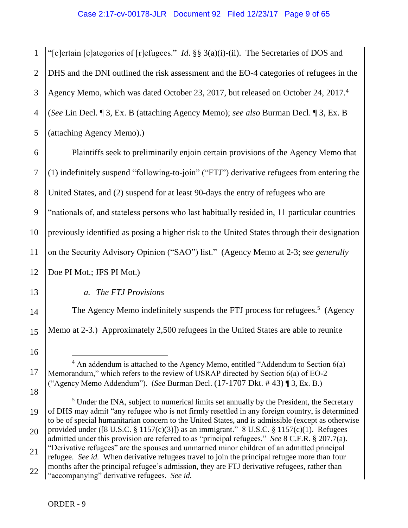1 2 3 4 5 "[c]ertain [c]ategories of [r]efugees." *Id*. §§ 3(a)(i)-(ii). The Secretaries of DOS and DHS and the DNI outlined the risk assessment and the EO-4 categories of refugees in the Agency Memo, which was dated October 23, 2017, but released on October 24, 2017. 4 (*See* Lin Decl. ¶ 3, Ex. B (attaching Agency Memo); *see also* Burman Decl. ¶ 3, Ex. B (attaching Agency Memo).)

6 7 8 9 10 11 12 Plaintiffs seek to preliminarily enjoin certain provisions of the Agency Memo that (1) indefinitely suspend "following-to-join" ("FTJ") derivative refugees from entering the United States, and (2) suspend for at least 90-days the entry of refugees who are "nationals of, and stateless persons who last habitually resided in, 11 particular countries previously identified as posing a higher risk to the United States through their designation on the Security Advisory Opinion ("SAO") list." (Agency Memo at 2-3; *see generally* 

Doe PI Mot.; JFS PI Mot.)

*a. The FTJ Provisions*

The Agency Memo indefinitely suspends the FTJ process for refugees.<sup>5</sup> (Agency Memo at 2-3.) Approximately 2,500 refugees in the United States are able to reunite

 $\overline{a}$  $4$  An addendum is attached to the Agency Memo, entitled "Addendum to Section 6(a) Memorandum," which refers to the review of USRAP directed by Section 6(a) of EO-2 ("Agency Memo Addendum"). (*See* Burman Decl. (17-1707 Dkt. # 43) ¶ 3, Ex. B.)

18

19 20 21 22 <sup>5</sup> Under the INA, subject to numerical limits set annually by the President, the Secretary of DHS may admit "any refugee who is not firmly resettled in any foreign country, is determined to be of special humanitarian concern to the United States, and is admissible (except as otherwise provided under ([8 U.S.C.  $\S 1157(c)(3)$ ]) as an immigrant." 8 U.S.C.  $\S 1157(c)(1)$ . Refugees admitted under this provision are referred to as "principal refugees." *See* 8 C.F.R. § 207.7(a). "Derivative refugees" are the spouses and unmarried minor children of an admitted principal refugee. *See id.* When derivative refugees travel to join the principal refugee more than four months after the principal refugee's admission, they are FTJ derivative refugees, rather than "accompanying" derivative refugees. *See id.*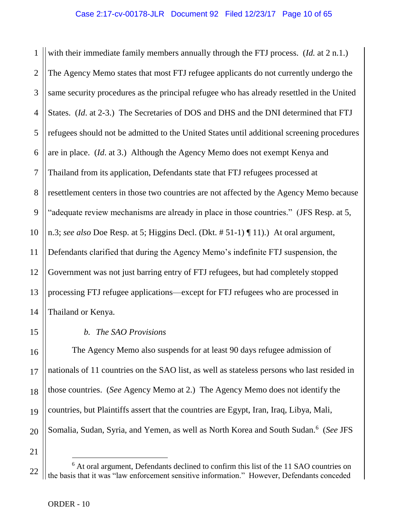1 2 3 4 5 6 7 8 9 10 11 12 with their immediate family members annually through the FTJ process. (*Id.* at 2 n.1.) The Agency Memo states that most FTJ refugee applicants do not currently undergo the same security procedures as the principal refugee who has already resettled in the United States. (*Id*. at 2-3.) The Secretaries of DOS and DHS and the DNI determined that FTJ refugees should not be admitted to the United States until additional screening procedures are in place. (*Id*. at 3.) Although the Agency Memo does not exempt Kenya and Thailand from its application, Defendants state that FTJ refugees processed at resettlement centers in those two countries are not affected by the Agency Memo because "adequate review mechanisms are already in place in those countries." (JFS Resp. at 5, n.3; *see also* Doe Resp. at 5; Higgins Decl. (Dkt. # 51-1) ¶ 11).) At oral argument, Defendants clarified that during the Agency Memo's indefinite FTJ suspension, the Government was not just barring entry of FTJ refugees, but had completely stopped processing FTJ refugee applications—except for FTJ refugees who are processed in Thailand or Kenya.

#### *b. The SAO Provisions*

The Agency Memo also suspends for at least 90 days refugee admission of nationals of 11 countries on the SAO list, as well as stateless persons who last resided in those countries. (*See* Agency Memo at 2.) The Agency Memo does not identify the countries, but Plaintiffs assert that the countries are Egypt, Iran, Iraq, Libya, Mali, Somalia, Sudan, Syria, and Yemen, as well as North Korea and South Sudan.<sup>6</sup> (See JFS

21

<sup>22</sup> <sup>6</sup> At oral argument, Defendants declined to confirm this list of the 11 SAO countries on the basis that it was "law enforcement sensitive information." However, Defendants conceded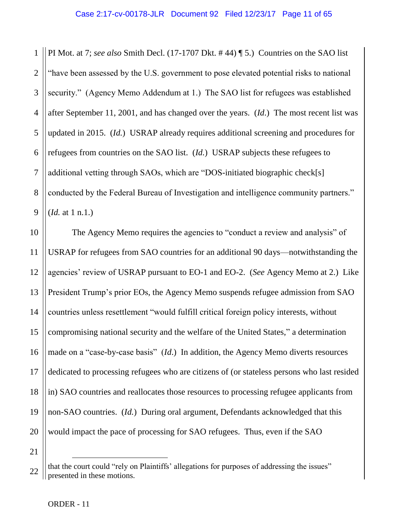1 2 3 4 5 6 7 8 9 PI Mot. at 7; *see also* Smith Decl. (17-1707 Dkt. # 44) ¶ 5.) Countries on the SAO list "have been assessed by the U.S. government to pose elevated potential risks to national security." (Agency Memo Addendum at 1.) The SAO list for refugees was established after September 11, 2001, and has changed over the years. (*Id*.) The most recent list was updated in 2015. (*Id.*) USRAP already requires additional screening and procedures for refugees from countries on the SAO list. (*Id.*) USRAP subjects these refugees to additional vetting through SAOs, which are "DOS-initiated biographic check[s] conducted by the Federal Bureau of Investigation and intelligence community partners." (*Id.* at 1 n.1.)

10 11 12 13 14 15 16 17 18 19 20 The Agency Memo requires the agencies to "conduct a review and analysis" of USRAP for refugees from SAO countries for an additional 90 days—notwithstanding the agencies' review of USRAP pursuant to EO-1 and EO-2. (*See* Agency Memo at 2.) Like President Trump's prior EOs, the Agency Memo suspends refugee admission from SAO countries unless resettlement "would fulfill critical foreign policy interests, without compromising national security and the welfare of the United States," a determination made on a "case-by-case basis" (*Id*.) In addition, the Agency Memo diverts resources dedicated to processing refugees who are citizens of (or stateless persons who last resided in) SAO countries and reallocates those resources to processing refugee applicants from non-SAO countries. (*Id.*) During oral argument, Defendants acknowledged that this would impact the pace of processing for SAO refugees. Thus, even if the SAO

<sup>21</sup>

<sup>22</sup> that the court could "rely on Plaintiffs' allegations for purposes of addressing the issues" presented in these motions.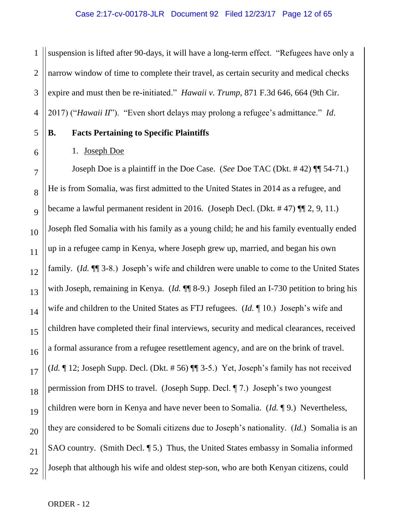1 2 3 4 suspension is lifted after 90-days, it will have a long-term effect. "Refugees have only a narrow window of time to complete their travel, as certain security and medical checks expire and must then be re-initiated." *Hawaii v. Trump*, 871 F.3d 646, 664 (9th Cir. 2017) ("*Hawaii II*"). "Even short delays may prolong a refugee's admittance." *Id*.

## **B. Facts Pertaining to Specific Plaintiffs**

1. Joseph Doe

5

6

7

8

9

11

12

15

17

21

10 13 14 16 18 19 20 Joseph Doe is a plaintiff in the Doe Case. (*See* Doe TAC (Dkt. # 42) ¶¶ 54-71.) He is from Somalia, was first admitted to the United States in 2014 as a refugee, and became a lawful permanent resident in 2016. (Joseph Decl. (Dkt. # 47) ¶¶ 2, 9, 11.) Joseph fled Somalia with his family as a young child; he and his family eventually ended up in a refugee camp in Kenya, where Joseph grew up, married, and began his own family. (*Id.*  $\P$ <sup> $\parallel$ </sup> 3-8.) Joseph's wife and children were unable to come to the United States with Joseph, remaining in Kenya. (*Id.* ¶¶ 8-9.) Joseph filed an I-730 petition to bring his wife and children to the United States as FTJ refugees. (*Id.* ¶ 10.) Joseph's wife and children have completed their final interviews, security and medical clearances, received a formal assurance from a refugee resettlement agency, and are on the brink of travel. (*Id.* ¶ 12; Joseph Supp. Decl. (Dkt. # 56) ¶¶ 3-5.) Yet, Joseph's family has not received permission from DHS to travel. (Joseph Supp. Decl. ¶ 7.) Joseph's two youngest children were born in Kenya and have never been to Somalia. (*Id.* ¶ 9.) Nevertheless, they are considered to be Somali citizens due to Joseph's nationality. (*Id.*) Somalia is an SAO country. (Smith Decl. 15.) Thus, the United States embassy in Somalia informed Joseph that although his wife and oldest step-son, who are both Kenyan citizens, could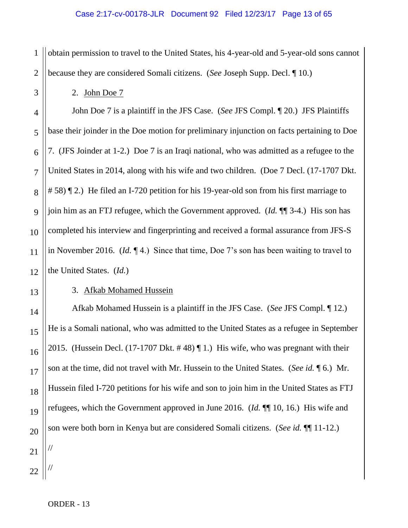1 2 obtain permission to travel to the United States, his 4-year-old and 5-year-old sons cannot because they are considered Somali citizens. (*See* Joseph Supp. Decl. ¶ 10.)

2. John Doe 7

John Doe 7 is a plaintiff in the JFS Case. (*See* JFS Compl. ¶ 20.) JFS Plaintiffs base their joinder in the Doe motion for preliminary injunction on facts pertaining to Doe 7. (JFS Joinder at 1-2.) Doe 7 is an Iraqi national, who was admitted as a refugee to the United States in 2014, along with his wife and two children. (Doe 7 Decl. (17-1707 Dkt. # 58) ¶ 2.) He filed an I-720 petition for his 19-year-old son from his first marriage to join him as an FTJ refugee, which the Government approved. (*Id.* ¶¶ 3-4.) His son has completed his interview and fingerprinting and received a formal assurance from JFS-S in November 2016. (*Id.* ¶ 4.) Since that time, Doe 7's son has been waiting to travel to the United States. (*Id.*)

# 3. Afkab Mohamed Hussein

Afkab Mohamed Hussein is a plaintiff in the JFS Case. (*See* JFS Compl. ¶ 12.) He is a Somali national, who was admitted to the United States as a refugee in September 2015. (Hussein Decl. (17-1707 Dkt. # 48) ¶ 1.) His wife, who was pregnant with their son at the time, did not travel with Mr. Hussein to the United States. (*See id.* ¶ 6.) Mr. Hussein filed I-720 petitions for his wife and son to join him in the United States as FTJ refugees, which the Government approved in June 2016. (*Id.* ¶¶ 10, 16.) His wife and son were both born in Kenya but are considered Somali citizens. (*See id.* ¶¶ 11-12.)

3

4

5

6

//

//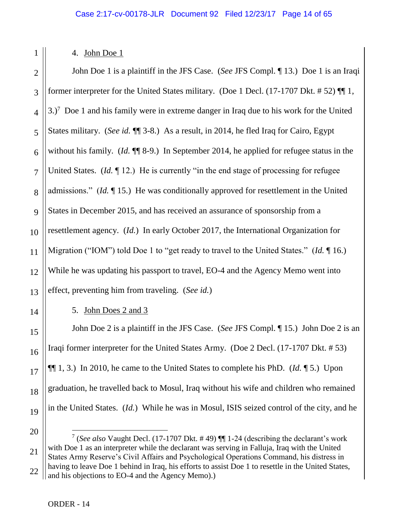4. John Doe 1

1

14

15

16

17

18

19

2 3 4 5 6 7 8 9 10 11 12 13 John Doe 1 is a plaintiff in the JFS Case. (*See* JFS Compl. ¶ 13.) Doe 1 is an Iraqi former interpreter for the United States military. (Doe 1 Decl. (17-1707 Dkt. # 52) ¶¶ 1,  $3.$ )<sup>7</sup> Doe 1 and his family were in extreme danger in Iraq due to his work for the United States military. (*See id.* ¶¶ 3-8.) As a result, in 2014, he fled Iraq for Cairo, Egypt without his family. (*Id.*  $\P$ <sup> $\parallel$ </sup> 8-9.) In September 2014, he applied for refugee status in the United States. (*Id.* 12.) He is currently "in the end stage of processing for refugee admissions." (*Id.* ¶ 15.) He was conditionally approved for resettlement in the United States in December 2015, and has received an assurance of sponsorship from a resettlement agency. (*Id.*) In early October 2017, the International Organization for Migration ("IOM") told Doe 1 to "get ready to travel to the United States." (*Id.* ¶ 16.) While he was updating his passport to travel, EO-4 and the Agency Memo went into effect, preventing him from traveling. (*See id.*)

5. John Does 2 and 3

John Doe 2 is a plaintiff in the JFS Case. (*See* JFS Compl. ¶ 15.) John Doe 2 is an Iraqi former interpreter for the United States Army. (Doe 2 Decl. (17-1707 Dkt. # 53) ¶¶ 1, 3.) In 2010, he came to the United States to complete his PhD. (*Id.* ¶ 5.) Upon graduation, he travelled back to Mosul, Iraq without his wife and children who remained in the United States. (*Id.*) While he was in Mosul, ISIS seized control of the city, and he

<sup>20</sup> 21 22 7 (*See also* Vaught Decl. (17-1707 Dkt. # 49) ¶¶ 1-24 (describing the declarant's work with Doe 1 as an interpreter while the declarant was serving in Falluja, Iraq with the United States Army Reserve's Civil Affairs and Psychological Operations Command, his distress in having to leave Doe 1 behind in Iraq, his efforts to assist Doe 1 to resettle in the United States, and his objections to EO-4 and the Agency Memo).)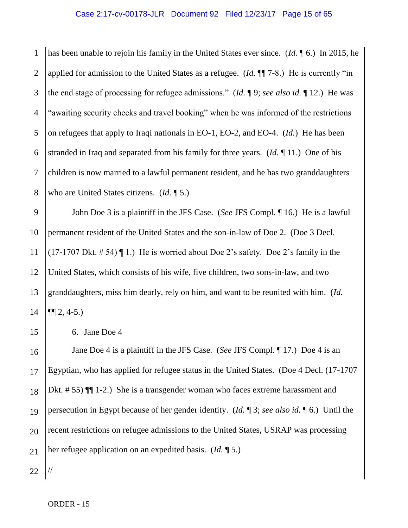1 2 3 4 5 6 7 8 has been unable to rejoin his family in the United States ever since. (*Id.* ¶ 6.) In 2015, he applied for admission to the United States as a refugee. (*Id.* ¶¶ 7-8.) He is currently "in the end stage of processing for refugee admissions." (*Id.* ¶ 9; *see also id.* ¶ 12.) He was "awaiting security checks and travel booking" when he was informed of the restrictions on refugees that apply to Iraqi nationals in EO-1, EO-2, and EO-4. (*Id.*) He has been stranded in Iraq and separated from his family for three years. (*Id.* ¶ 11.) One of his children is now married to a lawful permanent resident, and he has two granddaughters who are United States citizens. (*Id.* ¶ 5.)

9 10 11 12 13 14 John Doe 3 is a plaintiff in the JFS Case. (*See* JFS Compl. ¶ 16.) He is a lawful permanent resident of the United States and the son-in-law of Doe 2. (Doe 3 Decl.  $(17-1707 \text{ Dkt. } # 54)$  [1.) He is worried about Doe 2's safety. Doe 2's family in the United States, which consists of his wife, five children, two sons-in-law, and two granddaughters, miss him dearly, rely on him, and want to be reunited with him. (*Id.*   $\P\P 2, 4-5.$ 

6. Jane Doe 4

16 17 18 19 20 21 Jane Doe 4 is a plaintiff in the JFS Case. (*See* JFS Compl. ¶ 17.) Doe 4 is an Egyptian, who has applied for refugee status in the United States. (Doe 4 Decl. (17-1707 Dkt. # 55)  $\P$  1-2.) She is a transgender woman who faces extreme harassment and persecution in Egypt because of her gender identity. (*Id.* ¶ 3; *see also id.* ¶ 6.) Until the recent restrictions on refugee admissions to the United States, USRAP was processing her refugee application on an expedited basis. (*Id.* ¶ 5.)

22 //

15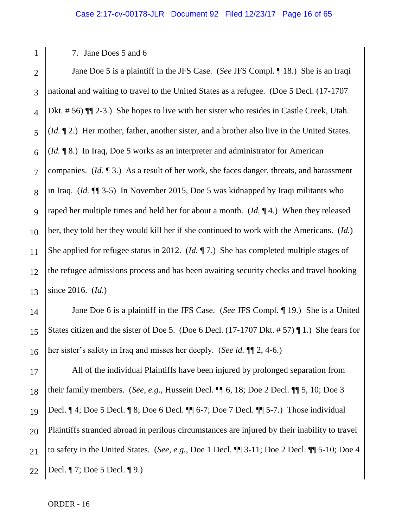2 3

5

7

11

14

15

1

## 7. Jane Does 5 and 6

4 6 8 9 10 12 13 Jane Doe 5 is a plaintiff in the JFS Case. (*See* JFS Compl. ¶ 18.) She is an Iraqi national and waiting to travel to the United States as a refugee. (Doe 5 Decl. (17-1707 Dkt. # 56)  $\P$  (2-3.) She hopes to live with her sister who resides in Castle Creek, Utah. (*Id.* ¶ 2.) Her mother, father, another sister, and a brother also live in the United States. (*Id.* ¶ 8.) In Iraq, Doe 5 works as an interpreter and administrator for American companies. (*Id.* ¶ 3.) As a result of her work, she faces danger, threats, and harassment in Iraq. (*Id.* ¶¶ 3-5) In November 2015, Doe 5 was kidnapped by Iraqi militants who raped her multiple times and held her for about a month. (*Id.* ¶ 4.) When they released her, they told her they would kill her if she continued to work with the Americans. (*Id.*) She applied for refugee status in 2012. (*Id.* ¶ 7.) She has completed multiple stages of the refugee admissions process and has been awaiting security checks and travel booking since 2016. (*Id.*)

16 Jane Doe 6 is a plaintiff in the JFS Case. (*See* JFS Compl. ¶ 19.) She is a United States citizen and the sister of Doe 5. (Doe 6 Decl. (17-1707 Dkt. # 57) ¶ 1.) She fears for her sister's safety in Iraq and misses her deeply. (*See id.* ¶¶ 2, 4-6.)

17 18 19 20 21 22 All of the individual Plaintiffs have been injured by prolonged separation from their family members. (*See, e.g.*, Hussein Decl. ¶¶ 6, 18; Doe 2 Decl. ¶¶ 5, 10; Doe 3 Decl. ¶ 4; Doe 5 Decl. ¶ 8; Doe 6 Decl. ¶¶ 6-7; Doe 7 Decl. ¶¶ 5-7.) Those individual Plaintiffs stranded abroad in perilous circumstances are injured by their inability to travel to safety in the United States. (*See, e.g.*, Doe 1 Decl. ¶¶ 3-11; Doe 2 Decl. ¶¶ 5-10; Doe 4 Decl. ¶ 7; Doe 5 Decl. ¶ 9.)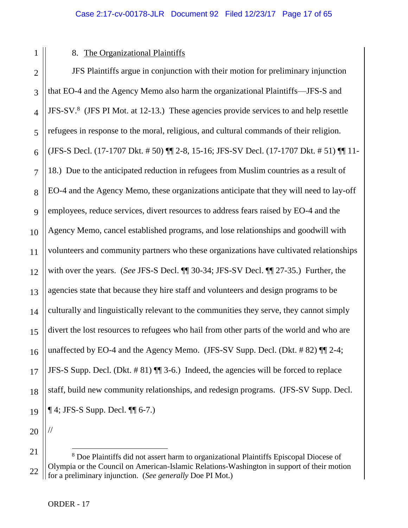1

# 8. The Organizational Plaintiffs

JFS Plaintiffs argue in conjunction with their motion for preliminary injunction that EO-4 and the Agency Memo also harm the organizational Plaintiffs—JFS-S and JFS-SV.<sup>8</sup> (JFS PI Mot. at 12-13.) These agencies provide services to and help resettle refugees in response to the moral, religious, and cultural commands of their religion. (JFS-S Decl. (17-1707 Dkt. # 50) ¶¶ 2-8, 15-16; JFS-SV Decl. (17-1707 Dkt. # 51) ¶¶ 11- 18.) Due to the anticipated reduction in refugees from Muslim countries as a result of EO-4 and the Agency Memo, these organizations anticipate that they will need to lay-off employees, reduce services, divert resources to address fears raised by EO-4 and the Agency Memo, cancel established programs, and lose relationships and goodwill with volunteers and community partners who these organizations have cultivated relationships with over the years. (*See* JFS-S Decl. ¶¶ 30-34; JFS-SV Decl. ¶¶ 27-35.) Further, the agencies state that because they hire staff and volunteers and design programs to be culturally and linguistically relevant to the communities they serve, they cannot simply divert the lost resources to refugees who hail from other parts of the world and who are unaffected by EO-4 and the Agency Memo. (JFS-SV Supp. Decl. (Dkt.  $\# 82$ )  $\P$  $[2-4;$ JFS-S Supp. Decl. (Dkt. # 81) ¶¶ 3-6.) Indeed, the agencies will be forced to replace staff, build new community relationships, and redesign programs. (JFS-SV Supp. Decl.  $\P$  4; JFS-S Supp. Decl.  $\P$  $\P$  6-7.)

20

//

<sup>21</sup> 22  $\overline{a}$ <sup>8</sup> Doe Plaintiffs did not assert harm to organizational Plaintiffs Episcopal Diocese of Olympia or the Council on American-Islamic Relations-Washington in support of their motion for a preliminary injunction. (*See generally* Doe PI Mot.)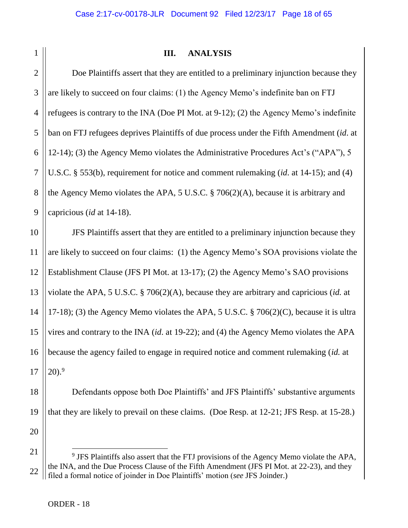| I<br>í |  |
|--------|--|

# **III. ANALYSIS**

3 4 5 6 7 8 9 Doe Plaintiffs assert that they are entitled to a preliminary injunction because they are likely to succeed on four claims: (1) the Agency Memo's indefinite ban on FTJ refugees is contrary to the INA (Doe PI Mot. at 9-12); (2) the Agency Memo's indefinite ban on FTJ refugees deprives Plaintiffs of due process under the Fifth Amendment (*id*. at 12-14); (3) the Agency Memo violates the Administrative Procedures Act's ("APA"), 5 U.S.C. § 553(b), requirement for notice and comment rulemaking (*id*. at 14-15); and (4) the Agency Memo violates the APA, 5 U.S.C. § 706(2)(A), because it is arbitrary and capricious (*id* at 14-18).

10 11 12 13 14 15 16 17 JFS Plaintiffs assert that they are entitled to a preliminary injunction because they are likely to succeed on four claims: (1) the Agency Memo's SOA provisions violate the Establishment Clause (JFS PI Mot. at 13-17); (2) the Agency Memo's SAO provisions violate the APA, 5 U.S.C. § 706(2)(A), because they are arbitrary and capricious (*id.* at 17-18); (3) the Agency Memo violates the APA, 5 U.S.C.  $\S$  706(2)(C), because it is ultra vires and contrary to the INA (*id*. at 19-22); and (4) the Agency Memo violates the APA because the agency failed to engage in required notice and comment rulemaking (*id.* at  $20).<sup>9</sup>$ 

18 19 20 Defendants oppose both Doe Plaintiffs' and JFS Plaintiffs' substantive arguments that they are likely to prevail on these claims. (Doe Resp. at 12-21; JFS Resp. at 15-28.)

<sup>21</sup> 22 <sup>9</sup> JFS Plaintiffs also assert that the FTJ provisions of the Agency Memo violate the APA, the INA, and the Due Process Clause of the Fifth Amendment (JFS PI Mot. at 22-23), and they filed a formal notice of joinder in Doe Plaintiffs' motion (*see* JFS Joinder.)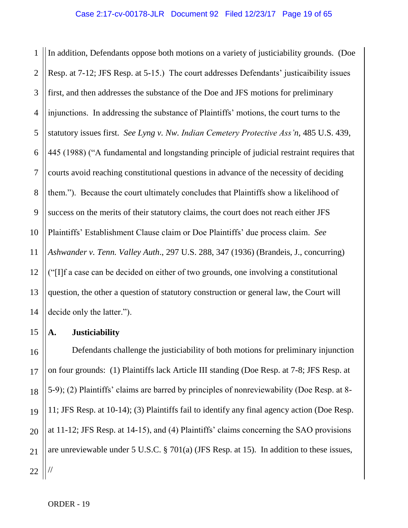1 2 3 4 5 6 7 8 9 10 11 12 13 14 In addition, Defendants oppose both motions on a variety of justiciability grounds. (Doe Resp. at 7-12; JFS Resp. at 5-15.) The court addresses Defendants' justicaibility issues first, and then addresses the substance of the Doe and JFS motions for preliminary injunctions. In addressing the substance of Plaintiffs' motions, the court turns to the statutory issues first. *See Lyng v. Nw. Indian Cemetery Protective Ass'n,* 485 U.S. 439, 445 (1988) ("A fundamental and longstanding principle of judicial restraint requires that courts avoid reaching constitutional questions in advance of the necessity of deciding them."). Because the court ultimately concludes that Plaintiffs show a likelihood of success on the merits of their statutory claims, the court does not reach either JFS Plaintiffs' Establishment Clause claim or Doe Plaintiffs' due process claim. *See Ashwander v. Tenn. Valley Auth*., 297 U.S. 288, 347 (1936) (Brandeis, J., concurring) ("[I]f a case can be decided on either of two grounds, one involving a constitutional question, the other a question of statutory construction or general law, the Court will decide only the latter.").

# **A. Justiciability**

15

16 17 18 19 20 21 22 Defendants challenge the justiciability of both motions for preliminary injunction on four grounds: (1) Plaintiffs lack Article III standing (Doe Resp. at 7-8; JFS Resp. at 5-9); (2) Plaintiffs' claims are barred by principles of nonreviewability (Doe Resp. at 8- 11; JFS Resp. at 10-14); (3) Plaintiffs fail to identify any final agency action (Doe Resp. at 11-12; JFS Resp. at 14-15), and (4) Plaintiffs' claims concerning the SAO provisions are unreviewable under 5 U.S.C. § 701(a) (JFS Resp. at 15). In addition to these issues, //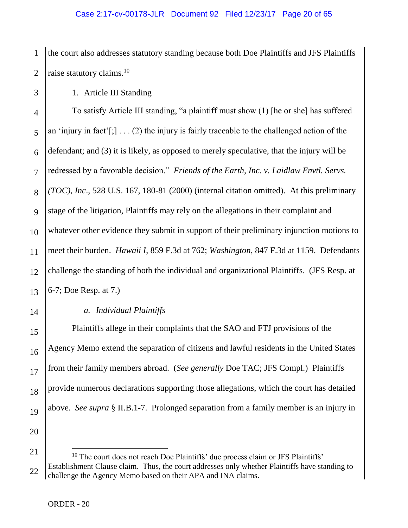1 2 the court also addresses statutory standing because both Doe Plaintiffs and JFS Plaintiffs raise statutory claims.<sup>10</sup>

1. Article III Standing

4 6 8 9 10 12 13 To satisfy Article III standing, "a plaintiff must show (1) [he or she] has suffered an 'injury in fact'[;]  $\ldots$  (2) the injury is fairly traceable to the challenged action of the defendant; and (3) it is likely, as opposed to merely speculative, that the injury will be redressed by a favorable decision." *Friends of the Earth, Inc. v. Laidlaw Envtl. Servs. (TOC), Inc*., 528 U.S. 167, 180-81 (2000) (internal citation omitted). At this preliminary stage of the litigation, Plaintiffs may rely on the allegations in their complaint and whatever other evidence they submit in support of their preliminary injunction motions to meet their burden. *Hawaii I*, 859 F.3d at 762; *Washington*, 847 F.3d at 1159. Defendants challenge the standing of both the individual and organizational Plaintiffs. (JFS Resp. at 6-7; Doe Resp. at 7.)

# *a. Individual Plaintiffs*

Plaintiffs allege in their complaints that the SAO and FTJ provisions of the Agency Memo extend the separation of citizens and lawful residents in the United States from their family members abroad. (*See generally* Doe TAC; JFS Compl.) Plaintiffs provide numerous declarations supporting those allegations, which the court has detailed above. *See supra* § II.B.1-7. Prolonged separation from a family member is an injury in

20 21

3

5

7

11

14

15

16

17

18

19

<sup>22</sup>  $10$  The court does not reach Doe Plaintiffs' due process claim or JFS Plaintiffs' Establishment Clause claim. Thus, the court addresses only whether Plaintiffs have standing to challenge the Agency Memo based on their APA and INA claims.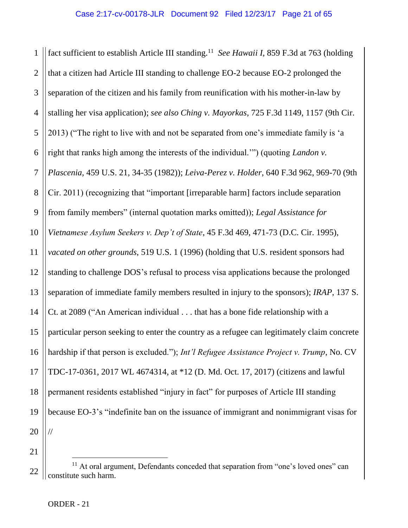1 2 3 4 5 6 7 8 9 10 11 12 13 14 15 16 17 18 19 20 fact sufficient to establish Article III standing.<sup>11</sup> See Hawaii I, 859 F.3d at 763 (holding that a citizen had Article III standing to challenge EO-2 because EO-2 prolonged the separation of the citizen and his family from reunification with his mother-in-law by stalling her visa application); *see also Ching v. Mayorkas*, 725 F.3d 1149, 1157 (9th Cir. 2013) ("The right to live with and not be separated from one's immediate family is 'a right that ranks high among the interests of the individual.'") (quoting *Landon v. Plascenia*, 459 U.S. 21, 34-35 (1982)); *Leiva-Perez v. Holder*, 640 F.3d 962, 969-70 (9th Cir. 2011) (recognizing that "important [irreparable harm] factors include separation from family members" (internal quotation marks omitted)); *Legal Assistance for Vietnamese Asylum Seekers v. Dep't of State*, 45 F.3d 469, 471-73 (D.C. Cir. 1995), *vacated on other grounds*, 519 U.S. 1 (1996) (holding that U.S. resident sponsors had standing to challenge DOS's refusal to process visa applications because the prolonged separation of immediate family members resulted in injury to the sponsors); *IRAP*, 137 S. Ct. at 2089 ("An American individual . . . that has a bone fide relationship with a particular person seeking to enter the country as a refugee can legitimately claim concrete hardship if that person is excluded."); *Int'l Refugee Assistance Project v. Trump*, No. CV TDC-17-0361, 2017 WL 4674314, at \*12 (D. Md. Oct. 17, 2017) (citizens and lawful permanent residents established "injury in fact" for purposes of Article III standing because EO-3's "indefinite ban on the issuance of immigrant and nonimmigrant visas for //

21

<sup>22</sup> <sup>11</sup> At oral argument, Defendants conceded that separation from "one's loved ones" can constitute such harm.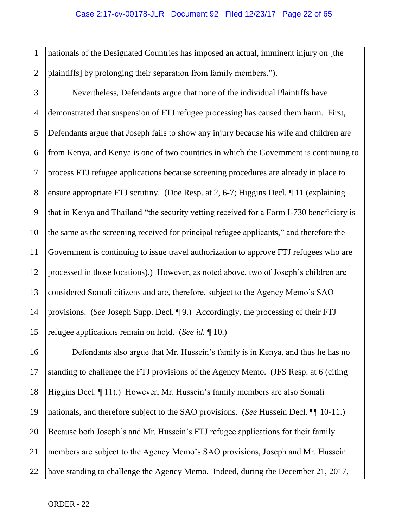1 2 nationals of the Designated Countries has imposed an actual, imminent injury on [the plaintiffs] by prolonging their separation from family members.").

3 4 5 6 7 8 9 10 11 12 13 14 15 Nevertheless, Defendants argue that none of the individual Plaintiffs have demonstrated that suspension of FTJ refugee processing has caused them harm. First, Defendants argue that Joseph fails to show any injury because his wife and children are from Kenya, and Kenya is one of two countries in which the Government is continuing to process FTJ refugee applications because screening procedures are already in place to ensure appropriate FTJ scrutiny. (Doe Resp. at 2, 6-7; Higgins Decl. ¶ 11 (explaining that in Kenya and Thailand "the security vetting received for a Form I-730 beneficiary is the same as the screening received for principal refugee applicants," and therefore the Government is continuing to issue travel authorization to approve FTJ refugees who are processed in those locations).) However, as noted above, two of Joseph's children are considered Somali citizens and are, therefore, subject to the Agency Memo's SAO provisions. (*See* Joseph Supp. Decl. ¶ 9.) Accordingly, the processing of their FTJ refugee applications remain on hold. (*See id.* ¶ 10.)

16 17 18 19 20 21 22 Defendants also argue that Mr. Hussein's family is in Kenya, and thus he has no standing to challenge the FTJ provisions of the Agency Memo. (JFS Resp. at 6 (citing Higgins Decl. ¶ 11).) However, Mr. Hussein's family members are also Somali nationals, and therefore subject to the SAO provisions. (*See* Hussein Decl. ¶¶ 10-11.) Because both Joseph's and Mr. Hussein's FTJ refugee applications for their family members are subject to the Agency Memo's SAO provisions, Joseph and Mr. Hussein have standing to challenge the Agency Memo. Indeed, during the December 21, 2017,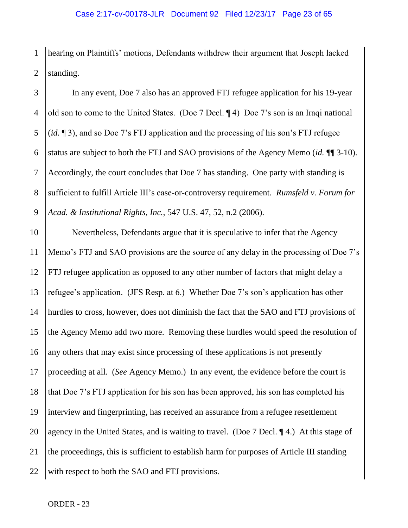1 2 hearing on Plaintiffs' motions, Defendants withdrew their argument that Joseph lacked standing.

3 4 5 6 7 8 9 In any event, Doe 7 also has an approved FTJ refugee application for his 19-year old son to come to the United States. (Doe 7 Decl. ¶ 4) Doe 7's son is an Iraqi national (*id.* ¶ 3), and so Doe 7's FTJ application and the processing of his son's FTJ refugee status are subject to both the FTJ and SAO provisions of the Agency Memo (*id.* ¶¶ 3-10). Accordingly, the court concludes that Doe 7 has standing. One party with standing is sufficient to fulfill Article III's case-or-controversy requirement. *Rumsfeld v. Forum for Acad. & Institutional Rights, Inc.*, 547 U.S. 47, 52, n.2 (2006).

10 11 12 13 14 15 16 17 18 19 20 21 22 Nevertheless, Defendants argue that it is speculative to infer that the Agency Memo's FTJ and SAO provisions are the source of any delay in the processing of Doe 7's FTJ refugee application as opposed to any other number of factors that might delay a refugee's application. (JFS Resp. at 6.) Whether Doe 7's son's application has other hurdles to cross, however, does not diminish the fact that the SAO and FTJ provisions of the Agency Memo add two more. Removing these hurdles would speed the resolution of any others that may exist since processing of these applications is not presently proceeding at all. (*See* Agency Memo.) In any event, the evidence before the court is that Doe 7's FTJ application for his son has been approved, his son has completed his interview and fingerprinting, has received an assurance from a refugee resettlement agency in the United States, and is waiting to travel. (Doe 7 Decl. ¶ 4.) At this stage of the proceedings, this is sufficient to establish harm for purposes of Article III standing with respect to both the SAO and FTJ provisions.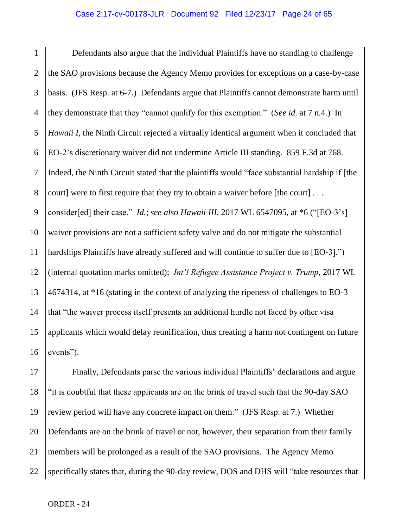1 2 3 4 5 6 7 8 9 10 11 12 13 14 15 16 Defendants also argue that the individual Plaintiffs have no standing to challenge the SAO provisions because the Agency Memo provides for exceptions on a case-by-case basis. (JFS Resp. at 6-7.) Defendants argue that Plaintiffs cannot demonstrate harm until they demonstrate that they "cannot qualify for this exemption." (*See id.* at 7 n.4.) In *Hawaii I*, the Ninth Circuit rejected a virtually identical argument when it concluded that EO-2's discretionary waiver did not undermine Article III standing. 859 F.3d at 768. Indeed, the Ninth Circuit stated that the plaintiffs would "face substantial hardship if [the court] were to first require that they try to obtain a waiver before [the court] . . . consider[ed] their case." *Id.*; *see also Hawaii III*, 2017 WL 6547095, at \*6 ("[EO-3's] waiver provisions are not a sufficient safety valve and do not mitigate the substantial hardships Plaintiffs have already suffered and will continue to suffer due to [EO-3].") (internal quotation marks omitted); *Int'l Refugee Assistance Project v. Trump*, 2017 WL 4674314, at \*16 (stating in the context of analyzing the ripeness of challenges to EO-3 that "the waiver process itself presents an additional hurdle not faced by other visa applicants which would delay reunification, thus creating a harm not contingent on future events").

17 18 19 20 21 22 Finally, Defendants parse the various individual Plaintiffs' declarations and argue "it is doubtful that these applicants are on the brink of travel such that the 90-day SAO review period will have any concrete impact on them." (JFS Resp. at 7.) Whether Defendants are on the brink of travel or not, however, their separation from their family members will be prolonged as a result of the SAO provisions. The Agency Memo specifically states that, during the 90-day review, DOS and DHS will "take resources that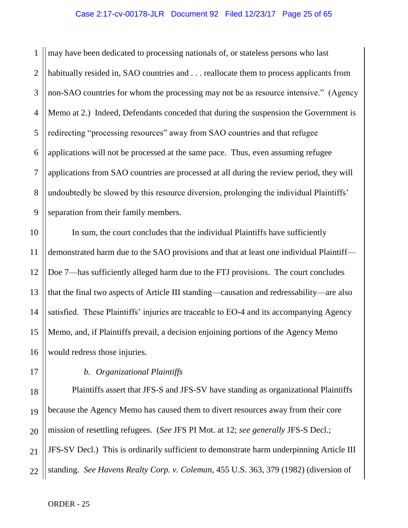1 2 3 4 5 6 7 8 9 may have been dedicated to processing nationals of, or stateless persons who last habitually resided in, SAO countries and . . . reallocate them to process applicants from non-SAO countries for whom the processing may not be as resource intensive." (Agency Memo at 2.) Indeed, Defendants conceded that during the suspension the Government is redirecting "processing resources" away from SAO countries and that refugee applications will not be processed at the same pace. Thus, even assuming refugee applications from SAO countries are processed at all during the review period, they will undoubtedly be slowed by this resource diversion, prolonging the individual Plaintiffs' separation from their family members.

10 In sum, the court concludes that the individual Plaintiffs have sufficiently demonstrated harm due to the SAO provisions and that at least one individual Plaintiff— Doe 7—has sufficiently alleged harm due to the FTJ provisions. The court concludes that the final two aspects of Article III standing—causation and redressability—are also satisfied. These Plaintiffs' injuries are traceable to EO-4 and its accompanying Agency Memo, and, if Plaintiffs prevail, a decision enjoining portions of the Agency Memo would redress those injuries.

# 16 17 18 19 20

21

22

11

12

13

14

15

# *b. Organizational Plaintiffs*

Plaintiffs assert that JFS-S and JFS-SV have standing as organizational Plaintiffs because the Agency Memo has caused them to divert resources away from their core mission of resettling refugees. (*See* JFS PI Mot. at 12; *see generally* JFS-S Decl.; JFS-SV Decl.) This is ordinarily sufficient to demonstrate harm underpinning Article III standing. *See Havens Realty Corp. v. Coleman*, 455 U.S. 363, 379 (1982) (diversion of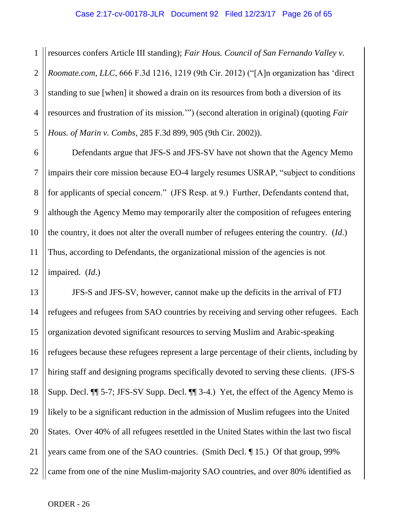1 2 3 4 5 resources confers Article III standing); *Fair Hous. Council of San Fernando Valley v. Roomate.com, LLC*, 666 F.3d 1216, 1219 (9th Cir. 2012) ("[A]n organization has 'direct standing to sue [when] it showed a drain on its resources from both a diversion of its resources and frustration of its mission.'") (second alteration in original) (quoting *Fair Hous. of Marin v. Combs*, 285 F.3d 899, 905 (9th Cir. 2002)).

6 7 8 Defendants argue that JFS-S and JFS-SV have not shown that the Agency Memo impairs their core mission because EO-4 largely resumes USRAP, "subject to conditions for applicants of special concern." (JFS Resp. at 9.) Further, Defendants contend that, although the Agency Memo may temporarily alter the composition of refugees entering the country, it does not alter the overall number of refugees entering the country. (*Id*.) Thus, according to Defendants, the organizational mission of the agencies is not impaired. (*Id*.)

22 JFS-S and JFS-SV, however, cannot make up the deficits in the arrival of FTJ refugees and refugees from SAO countries by receiving and serving other refugees. Each organization devoted significant resources to serving Muslim and Arabic-speaking refugees because these refugees represent a large percentage of their clients, including by hiring staff and designing programs specifically devoted to serving these clients. (JFS-S Supp. Decl. ¶¶ 5-7; JFS-SV Supp. Decl. ¶¶ 3-4.) Yet, the effect of the Agency Memo is likely to be a significant reduction in the admission of Muslim refugees into the United States. Over 40% of all refugees resettled in the United States within the last two fiscal years came from one of the SAO countries. (Smith Decl. ¶ 15.) Of that group, 99% came from one of the nine Muslim-majority SAO countries, and over 80% identified as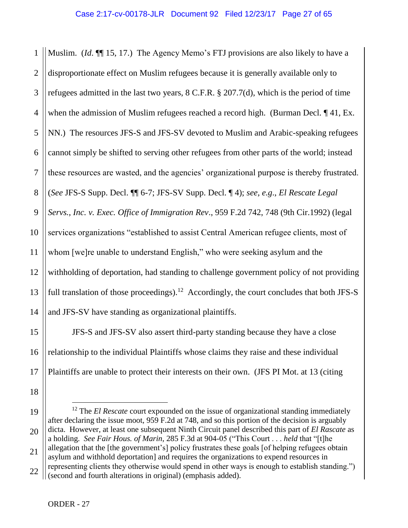1 2 3 4 5 6 7 8 9 10 11 12 13 14 Muslim. (*Id*. ¶¶ 15, 17.) The Agency Memo's FTJ provisions are also likely to have a disproportionate effect on Muslim refugees because it is generally available only to refugees admitted in the last two years, 8 C.F.R. § 207.7(d), which is the period of time when the admission of Muslim refugees reached a record high. (Burman Decl. 141, Ex. NN.) The resources JFS-S and JFS-SV devoted to Muslim and Arabic-speaking refugees cannot simply be shifted to serving other refugees from other parts of the world; instead these resources are wasted, and the agencies' organizational purpose is thereby frustrated. (*See* JFS-S Supp. Decl. ¶¶ 6-7; JFS-SV Supp. Decl. ¶ 4); *see, e.g*., *El Rescate Legal Servs., Inc. v. Exec. Office of Immigration Rev*., 959 F.2d 742, 748 (9th Cir.1992) (legal services organizations "established to assist Central American refugee clients, most of whom [we]re unable to understand English," who were seeking asylum and the withholding of deportation, had standing to challenge government policy of not providing full translation of those proceedings).<sup>12</sup> Accordingly, the court concludes that both JFS-S and JFS-SV have standing as organizational plaintiffs.

15 16 17 JFS-S and JFS-SV also assert third-party standing because they have a close relationship to the individual Plaintiffs whose claims they raise and these individual Plaintiffs are unable to protect their interests on their own. (JFS PI Mot. at 13 (citing

- 18
- 19 20  $\overline{a}$ <sup>12</sup> The *El Rescate* court expounded on the issue of organizational standing immediately after declaring the issue moot, 959 F.2d at 748, and so this portion of the decision is arguably dicta. However, at least one subsequent Ninth Circuit panel described this part of *El Rascate* as a holding. *See Fair Hous. of Marin*, 285 F.3d at 904-05 ("This Court . . . *held* that "[t]he allegation that the [the government's] policy frustrates these goals [of helping refugees obtain
- 21 22 asylum and withhold deportation] and requires the organizations to expend resources in representing clients they otherwise would spend in other ways is enough to establish standing.") (second and fourth alterations in original) (emphasis added).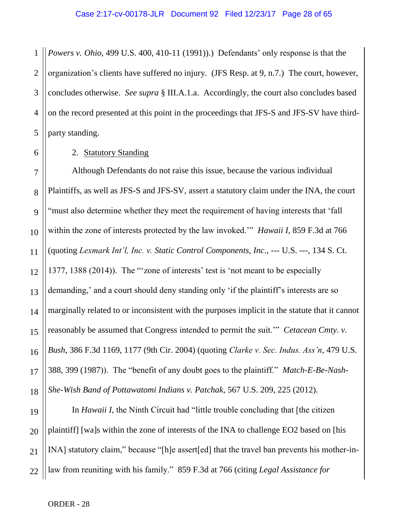1 2 3 4 5 *Powers v. Ohio*, 499 U.S. 400, 410-11 (1991)).) Defendants' only response is that the organization's clients have suffered no injury. (JFS Resp. at 9, n.7.) The court, however, concludes otherwise. *See supra* § III.A.1.a. Accordingly, the court also concludes based on the record presented at this point in the proceedings that JFS-S and JFS-SV have thirdparty standing.

### 2. Statutory Standing

Although Defendants do not raise this issue, because the various individual Plaintiffs, as well as JFS-S and JFS-SV, assert a statutory claim under the INA, the court "must also determine whether they meet the requirement of having interests that 'fall within the zone of interests protected by the law invoked.'" *Hawaii I*, 859 F.3d at 766 (quoting *Lexmark Int'l, Inc. v. Static Control Components, Inc*., --- U.S. ---, 134 S. Ct. 1377, 1388 (2014)). The "'zone of interests' test is 'not meant to be especially demanding,' and a court should deny standing only 'if the plaintiff's interests are so marginally related to or inconsistent with the purposes implicit in the statute that it cannot reasonably be assumed that Congress intended to permit the suit.'" *Cetacean Cmty. v. Bush*, 386 F.3d 1169, 1177 (9th Cir. 2004) (quoting *Clarke v. Sec. Indus. Ass'n*, 479 U.S. 388, 399 (1987)). The "benefit of any doubt goes to the plaintiff." *Match-E-Be-Nash-She-Wish Band of Pottawatomi Indians v. Patchak*, 567 U.S. 209, 225 (2012).

22 In *Hawaii I*, the Ninth Circuit had "little trouble concluding that [the citizen plaintiff] [wa]s within the zone of interests of the INA to challenge EO2 based on [his INA] statutory claim," because "[h]e assert[ed] that the travel ban prevents his mother-inlaw from reuniting with his family." 859 F.3d at 766 (citing *Legal Assistance for*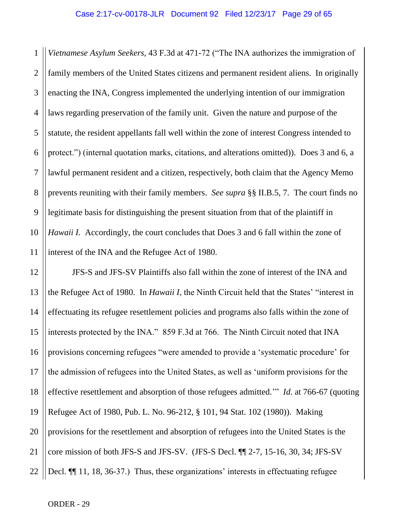1 2 3 4 5 6 7 8 9 10 11 *Vietnamese Asylum Seekers*, 43 F.3d at 471-72 ("The INA authorizes the immigration of family members of the United States citizens and permanent resident aliens. In originally enacting the INA, Congress implemented the underlying intention of our immigration laws regarding preservation of the family unit. Given the nature and purpose of the statute, the resident appellants fall well within the zone of interest Congress intended to protect.") (internal quotation marks, citations, and alterations omitted)). Does 3 and 6, a lawful permanent resident and a citizen, respectively, both claim that the Agency Memo prevents reuniting with their family members. *See supra* §§ II.B.5, 7. The court finds no legitimate basis for distinguishing the present situation from that of the plaintiff in *Hawaii I*. Accordingly, the court concludes that Does 3 and 6 fall within the zone of interest of the INA and the Refugee Act of 1980.

12 13 14 15 16 17 18 19 20 21 22 JFS-S and JFS-SV Plaintiffs also fall within the zone of interest of the INA and the Refugee Act of 1980. In *Hawaii I*, the Ninth Circuit held that the States' "interest in effectuating its refugee resettlement policies and programs also falls within the zone of interests protected by the INA." 859 F.3d at 766. The Ninth Circuit noted that INA provisions concerning refugees "were amended to provide a 'systematic procedure' for the admission of refugees into the United States, as well as 'uniform provisions for the effective resettlement and absorption of those refugees admitted.'" *Id*. at 766-67 (quoting Refugee Act of 1980, Pub. L. No. 96-212, § 101, 94 Stat. 102 (1980)). Making provisions for the resettlement and absorption of refugees into the United States is the core mission of both JFS-S and JFS-SV. (JFS-S Decl. ¶¶ 2-7, 15-16, 30, 34; JFS-SV Decl.  $\P$  11, 18, 36-37.) Thus, these organizations' interests in effectuating refugee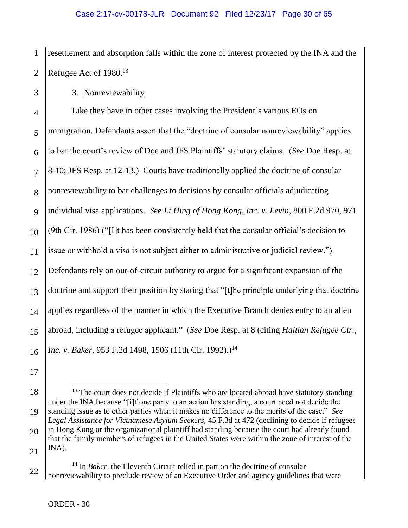1 2 resettlement and absorption falls within the zone of interest protected by the INA and the Refugee Act of 1980.<sup>13</sup>

3. Nonreviewability

3

17

4 5 6 7 8 9 10 11 12 13 14 15 16 Like they have in other cases involving the President's various EOs on immigration, Defendants assert that the "doctrine of consular nonreviewability" applies to bar the court's review of Doe and JFS Plaintiffs' statutory claims. (*See* Doe Resp. at 8-10; JFS Resp. at 12-13.) Courts have traditionally applied the doctrine of consular nonreviewability to bar challenges to decisions by consular officials adjudicating individual visa applications. *See Li Hing of Hong Kong, Inc. v. Levin*, 800 F.2d 970, 971 (9th Cir. 1986) ("[I]t has been consistently held that the consular official's decision to issue or withhold a visa is not subject either to administrative or judicial review."). Defendants rely on out-of-circuit authority to argue for a significant expansion of the doctrine and support their position by stating that "[t]he principle underlying that doctrine applies regardless of the manner in which the Executive Branch denies entry to an alien abroad, including a refugee applicant." (*See* Doe Resp. at 8 (citing *Haitian Refugee Ctr., Inc. v. Baker*, 953 F.2d 1498, 1506 (11th Cir. 1992).)<sup>14</sup>

18 19 20 21  $\overline{a}$ <sup>13</sup> The court does not decide if Plaintiffs who are located abroad have statutory standing under the INA because "[i]f one party to an action has standing, a court need not decide the standing issue as to other parties when it makes no difference to the merits of the case." *See Legal Assistance for Vietnamese Asylum Seekers*, 45 F.3d at 472 (declining to decide if refugees in Hong Kong or the organizational plaintiff had standing because the court had already found that the family members of refugees in the United States were within the zone of interest of the INA).

22 <sup>14</sup> In *Baker*, the Eleventh Circuit relied in part on the doctrine of consular nonreviewability to preclude review of an Executive Order and agency guidelines that were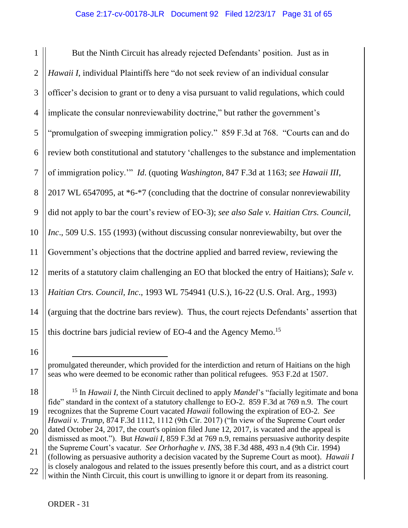1 2 3 4 5 6 7 8 9 10 11 12 13 14 15 But the Ninth Circuit has already rejected Defendants' position. Just as in *Hawaii I*, individual Plaintiffs here "do not seek review of an individual consular officer's decision to grant or to deny a visa pursuant to valid regulations, which could implicate the consular nonreviewability doctrine," but rather the government's "promulgation of sweeping immigration policy." 859 F.3d at 768. "Courts can and do review both constitutional and statutory 'challenges to the substance and implementation of immigration policy.'" *Id*. (quoting *Washington*, 847 F.3d at 1163; *see Hawaii III*, 2017 WL 6547095, at \*6-\*7 (concluding that the doctrine of consular nonreviewability did not apply to bar the court's review of EO-3); *see also Sale v. Haitian Ctrs. Council, Inc*., 509 U.S. 155 (1993) (without discussing consular nonreviewabilty, but over the Government's objections that the doctrine applied and barred review, reviewing the merits of a statutory claim challenging an EO that blocked the entry of Haitians); *Sale v. Haitian Ctrs. Council, Inc*., 1993 WL 754941 (U.S.), 16-22 (U.S. Oral. Arg., 1993) (arguing that the doctrine bars review). Thus, the court rejects Defendants' assertion that this doctrine bars judicial review of EO-4 and the Agency Memo. 15

18 19 20 <sup>15</sup> In *Hawaii I*, the Ninth Circuit declined to apply *Mandel*'s "facially legitimate and bona fide" standard in the context of a statutory challenge to EO-2. 859 F.3d at 769 n.9. The court recognizes that the Supreme Court vacated *Hawaii* following the expiration of EO-2. *See Hawaii v. Trump*, 874 F.3d 1112, 1112 (9th Cir. 2017) ("In view of the Supreme Court order dated October 24, 2017, the court's opinion filed June 12, 2017, is vacated and the appeal is dismissed as moot."). But *Hawaii I*, 859 F.3d at 769 n.9, remains persuasive authority despite

 $\overline{a}$ 

16

17

promulgated thereunder, which provided for the interdiction and return of Haitians on the high seas who were deemed to be economic rather than political refugees. 953 F.2d at 1507.

<sup>21</sup> 22 the Supreme Court's vacatur. *See Orhorhaghe v. INS*, 38 F.3d 488, 493 n.4 (9th Cir. 1994) (following as persuasive authority a decision vacated by the Supreme Court as moot). *Hawaii I* is closely analogous and related to the issues presently before this court, and as a district court within the Ninth Circuit, this court is unwilling to ignore it or depart from its reasoning.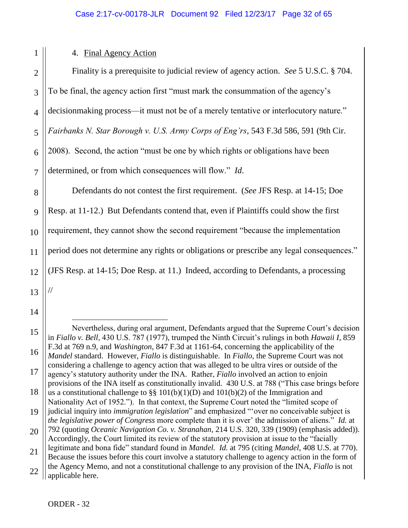|  | $\tilde{ }$                                     |
|--|-------------------------------------------------|
|  |                                                 |
|  | ٦                                               |
|  | ċ                                               |
|  |                                                 |
|  | $\angle$                                        |
|  |                                                 |
|  | $\overline{\mathbf{r}}$<br>$\ddot{\phantom{0}}$ |

 $1 \parallel$ 

# 4. Final Agency Action

| $\overline{2}$ | Finality is a prerequisite to judicial review of agency action. See 5 U.S.C. § 704.       |
|----------------|-------------------------------------------------------------------------------------------|
| 3              | To be final, the agency action first "must mark the consummation of the agency's          |
| $\overline{4}$ | decision making process—it must not be of a merely tentative or interlocutory nature."    |
| 5              | Fairbanks N. Star Borough v. U.S. Army Corps of Eng'rs, 543 F.3d 586, 591 (9th Cir.       |
| 6              | 2008). Second, the action "must be one by which rights or obligations have been           |
| $\overline{7}$ | determined, or from which consequences will flow." Id.                                    |
| 8              | Defendants do not contest the first requirement. (See JFS Resp. at 14-15; Doe             |
| 9              | Resp. at 11-12.) But Defendants contend that, even if Plaintiffs could show the first     |
| 10             | requirement, they cannot show the second requirement "because the implementation          |
| 11             | period does not determine any rights or obligations or prescribe any legal consequences." |
| 12             | (JFS Resp. at 14-15; Doe Resp. at 11.) Indeed, according to Defendants, a processing      |
| 13             |                                                                                           |

- 13
- 14

 $\overline{a}$ 

15

16

17

Nevertheless, during oral argument, Defendants argued that the Supreme Court's decision in *Fiallo v. Bell*, 430 U.S. 787 (1977), trumped the Ninth Circuit's rulings in both *Hawaii I*, 859 F.3d at 769 n.9, and *Washington*, 847 F.3d at 1161-64, concerning the applicability of the *Mandel* standard. However, *Fiallo* is distinguishable. In *Fiallo*, the Supreme Court was not considering a challenge to agency action that was alleged to be ultra vires or outside of the agency's statutory authority under the INA. Rather, *Fiallo* involved an action to enjoin provisions of the INA itself as constitutionally invalid. 430 U.S. at 788 ("This case brings before us a constitutional challenge to §§  $101(b)(1)(D)$  and  $101(b)(2)$  of the Immigration and

<sup>18</sup> 19 Nationality Act of 1952."). In that context, the Supreme Court noted the "limited scope of judicial inquiry into *immigration legislation*" and emphasized "'over no conceivable subject is

<sup>20</sup> *the legislative power of Congress* more complete than it is over' the admission of aliens." *Id.* at 792 (quoting *Oceanic Navigation Co. v. Stranahan*, 214 U.S. 320, 339 (1909) (emphasis added)).

Accordingly, the Court limited its review of the statutory provision at issue to the "facially legitimate and bona fide" standard found in *Mandel. Id.* at 795 (citing *Mandel*, 408 U.S. at 770).

<sup>21</sup> 22 Because the issues before this court involve a statutory challenge to agency action in the form of the Agency Memo, and not a constitutional challenge to any provision of the INA, *Fiallo* is not applicable here.

ORDER - 32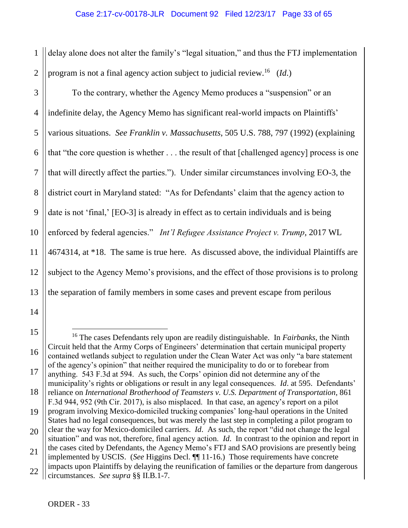1 2 delay alone does not alter the family's "legal situation," and thus the FTJ implementation program is not a final agency action subject to judicial review.<sup>16</sup> (*Id*.)

3 4 5 6 7 8 9 10 11 12 13 To the contrary, whether the Agency Memo produces a "suspension" or an indefinite delay, the Agency Memo has significant real-world impacts on Plaintiffs' various situations. *See Franklin v. Massachusetts*, 505 U.S. 788, 797 (1992) (explaining that "the core question is whether . . . the result of that [challenged agency] process is one that will directly affect the parties."). Under similar circumstances involving EO-3, the district court in Maryland stated: "As for Defendants' claim that the agency action to date is not 'final,' [EO-3] is already in effect as to certain individuals and is being enforced by federal agencies." *Int'l Refugee Assistance Project v. Trump*, 2017 WL 4674314, at \*18. The same is true here. As discussed above, the individual Plaintiffs are subject to the Agency Memo's provisions, and the effect of those provisions is to prolong the separation of family members in some cases and prevent escape from perilous

15

16

17

<sup>14</sup>

 $\overline{a}$ <sup>16</sup> The cases Defendants rely upon are readily distinguishable. In *Fairbanks*, the Ninth Circuit held that the Army Corps of Engineers' determination that certain municipal property contained wetlands subject to regulation under the Clean Water Act was only "a bare statement of the agency's opinion" that neither required the municipality to do or to forebear from anything. 543 F.3d at 594. As such, the Corps' opinion did not determine any of the

<sup>18</sup> municipality's rights or obligations or result in any legal consequences. *Id*. at 595. Defendants' reliance on *International Brotherhood of Teamsters v. U.S. Department of Transportation*, 861 F.3d 944, 952 (9th Cir. 2017), is also misplaced. In that case, an agency's report on a pilot

<sup>19</sup> program involving Mexico-domiciled trucking companies' long-haul operations in the United States had no legal consequences, but was merely the last step in completing a pilot program to

<sup>20</sup> clear the way for Mexico-domiciled carriers. *Id*. As such, the report "did not change the legal situation" and was not, therefore, final agency action. *Id*. In contrast to the opinion and report in the cases cited by Defendants, the Agency Memo's FTJ and SAO provisions are presently being

<sup>21</sup> 22 implemented by USCIS. (*See* Higgins Decl. ¶¶ 11-16.) Those requirements have concrete impacts upon Plaintiffs by delaying the reunification of families or the departure from dangerous circumstances. *See supra* §§ II.B.1-7.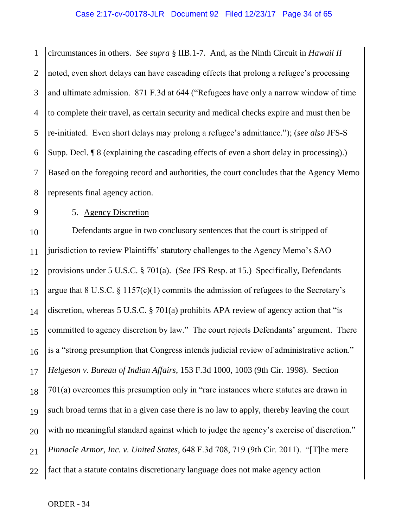#### Case 2:17-cv-00178-JLR Document 92 Filed 12/23/17 Page 34 of 65

1 2 3 4 5 6 7 8 circumstances in others. *See supra* § IIB.1-7. And, as the Ninth Circuit in *Hawaii II*  noted, even short delays can have cascading effects that prolong a refugee's processing and ultimate admission. 871 F.3d at 644 ("Refugees have only a narrow window of time to complete their travel, as certain security and medical checks expire and must then be re-initiated. Even short delays may prolong a refugee's admittance."); (*see also* JFS-S Supp. Decl. ¶ 8 (explaining the cascading effects of even a short delay in processing).) Based on the foregoing record and authorities, the court concludes that the Agency Memo represents final agency action.

9

## 5. Agency Discretion

10 11 12 13 14 15 16 17 18 19 20 21 22 Defendants argue in two conclusory sentences that the court is stripped of jurisdiction to review Plaintiffs' statutory challenges to the Agency Memo's SAO provisions under 5 U.S.C. § 701(a). (*See* JFS Resp. at 15.) Specifically, Defendants argue that  $8 \text{ U.S.C. } \frac{6}{7}$  (1) commits the admission of refugees to the Secretary's discretion, whereas 5 U.S.C. § 701(a) prohibits APA review of agency action that "is committed to agency discretion by law." The court rejects Defendants' argument. There is a "strong presumption that Congress intends judicial review of administrative action." *Helgeson v. Bureau of Indian Affairs*, 153 F.3d 1000, 1003 (9th Cir. 1998). Section 701(a) overcomes this presumption only in "rare instances where statutes are drawn in such broad terms that in a given case there is no law to apply, thereby leaving the court with no meaningful standard against which to judge the agency's exercise of discretion." *Pinnacle Armor, Inc. v. United States*, 648 F.3d 708, 719 (9th Cir. 2011). "[T]he mere fact that a statute contains discretionary language does not make agency action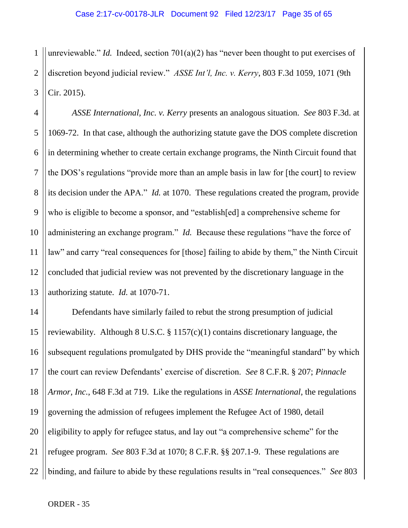1 2 3 unreviewable." *Id.* Indeed, section 701(a)(2) has "never been thought to put exercises of discretion beyond judicial review." *ASSE Int'l, Inc. v. Kerry*, 803 F.3d 1059, 1071 (9th Cir. 2015).

4 5 6 7 8 9 10 11 12 13 *ASSE International, Inc. v. Kerry* presents an analogous situation. *See* 803 F.3d. at 1069-72. In that case, although the authorizing statute gave the DOS complete discretion in determining whether to create certain exchange programs, the Ninth Circuit found that the DOS's regulations "provide more than an ample basis in law for [the court] to review its decision under the APA." *Id.* at 1070. These regulations created the program, provide who is eligible to become a sponsor, and "establish[ed] a comprehensive scheme for administering an exchange program." *Id.* Because these regulations "have the force of law" and carry "real consequences for [those] failing to abide by them," the Ninth Circuit concluded that judicial review was not prevented by the discretionary language in the authorizing statute. *Id.* at 1070-71.

14 15 16 17 18 19 20 21 22 Defendants have similarly failed to rebut the strong presumption of judicial reviewability. Although 8 U.S.C.  $\S 1157(c)(1)$  contains discretionary language, the subsequent regulations promulgated by DHS provide the "meaningful standard" by which the court can review Defendants' exercise of discretion. *See* 8 C.F.R. § 207; *Pinnacle Armor, Inc.*, 648 F.3d at 719. Like the regulations in *ASSE International*, the regulations governing the admission of refugees implement the Refugee Act of 1980, detail eligibility to apply for refugee status, and lay out "a comprehensive scheme" for the refugee program. *See* 803 F.3d at 1070; 8 C.F.R. §§ 207.1-9. These regulations are binding, and failure to abide by these regulations results in "real consequences." *See* 803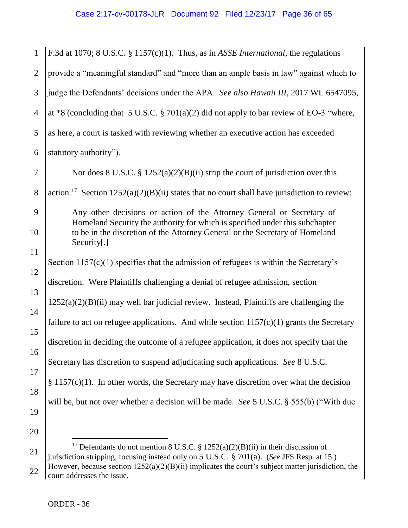| $\mathbf{1}$   | F.3d at 1070; 8 U.S.C. § 1157(c)(1). Thus, as in ASSE International, the regulations                                                                  |
|----------------|-------------------------------------------------------------------------------------------------------------------------------------------------------|
| $\overline{2}$ | provide a "meaningful standard" and "more than an ample basis in law" against which to                                                                |
| 3              | judge the Defendants' decisions under the APA. See also Hawaii III, 2017 WL 6547095,                                                                  |
| $\overline{4}$ | at *8 (concluding that 5 U.S.C. $\S 701(a)(2)$ did not apply to bar review of EO-3 "where,                                                            |
| 5              | as here, a court is tasked with reviewing whether an executive action has exceeded                                                                    |
| 6              | statutory authority").                                                                                                                                |
| 7              | Nor does 8 U.S.C. § $1252(a)(2)(B)(ii)$ strip the court of jurisdiction over this                                                                     |
| 8              | action. <sup>17</sup> Section 1252(a)(2)(B)(ii) states that no court shall have jurisdiction to review:                                               |
| 9              | Any other decisions or action of the Attorney General or Secretary of<br>Homeland Security the authority for which is specified under this subchapter |
| 10             | to be in the discretion of the Attorney General or the Secretary of Homeland<br>Security[.]                                                           |
| 11             |                                                                                                                                                       |
| 12             | Section $1157(c)(1)$ specifies that the admission of refugees is within the Secretary's                                                               |
| 13             | discretion. Were Plaintiffs challenging a denial of refugee admission, section                                                                        |
| 14             | $1252(a)(2)(B)(ii)$ may well bar judicial review. Instead, Plaintiffs are challenging the                                                             |
| 15             | failure to act on refugee applications. And while section $1157(c)(1)$ grants the Secretary                                                           |
| 16             | discretion in deciding the outcome of a refugee application, it does not specify that the                                                             |
| 17             | Secretary has discretion to suspend adjudicating such applications. See 8 U.S.C.                                                                      |
| 18             | $§ 1157(c)(1)$ . In other words, the Secretary may have discretion over what the decision                                                             |
| 19             | will be, but not over whether a decision will be made. See 5 U.S.C. § 555(b) ("With due                                                               |
| 20             |                                                                                                                                                       |
|                | <sup>17</sup> Defendants do not mention 8 U.S.C. § 1252(a)(2)(B)(ii) in their discussion of                                                           |
| 21             |                                                                                                                                                       |

22 jurisdiction stripping, focusing instead only on 5 U.S.C. § 701(a). (*See* JFS Resp. at 15.) However, because section 1252(a)(2)(B)(ii) implicates the court's subject matter jurisdiction, the court addresses the issue.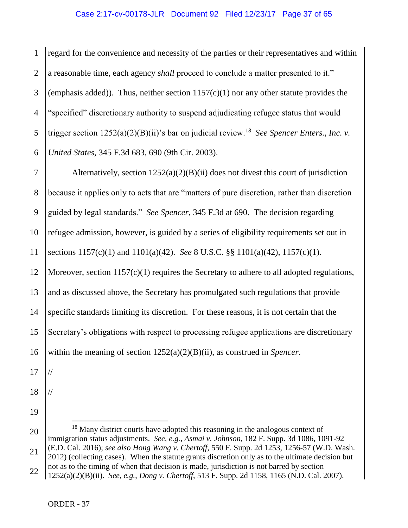1 2 3 4 5 6 regard for the convenience and necessity of the parties or their representatives and within a reasonable time, each agency *shall* proceed to conclude a matter presented to it." (emphasis added)). Thus, neither section  $1157(c)(1)$  nor any other statute provides the "specified" discretionary authority to suspend adjudicating refugee status that would trigger section 1252(a)(2)(B)(ii)'s bar on judicial review.<sup>18</sup> *See Spencer Enters., Inc. v. United States*, 345 F.3d 683, 690 (9th Cir. 2003).

7 8 9 10 11 12 13 14 15 16 Alternatively, section  $1252(a)(2)(B)(ii)$  does not divest this court of jurisdiction because it applies only to acts that are "matters of pure discretion, rather than discretion guided by legal standards." *See Spencer*, 345 F.3d at 690. The decision regarding refugee admission, however, is guided by a series of eligibility requirements set out in sections 1157(c)(1) and 1101(a)(42). *See* 8 U.S.C. §§ 1101(a)(42), 1157(c)(1). Moreover, section 1157(c)(1) requires the Secretary to adhere to all adopted regulations, and as discussed above, the Secretary has promulgated such regulations that provide specific standards limiting its discretion. For these reasons, it is not certain that the Secretary's obligations with respect to processing refugee applications are discretionary within the meaning of section 1252(a)(2)(B)(ii), as construed in *Spencer*.

17

//

//

18

19

20 21 22  $\overline{a}$ <sup>18</sup> Many district courts have adopted this reasoning in the analogous context of immigration status adjustments. *See, e.g.*, *Asmai v. Johnson*, 182 F. Supp. 3d 1086, 1091-92 (E.D. Cal. 2016); *see also Hong Wang v. Chertoff*, 550 F. Supp. 2d 1253, 1256-57 (W.D. Wash. 2012) (collecting cases). When the statute grants discretion only as to the ultimate decision but not as to the timing of when that decision is made, jurisdiction is not barred by section 1252(a)(2)(B)(ii). *See, e.g.*, *Dong v. Chertoff*, 513 F. Supp. 2d 1158, 1165 (N.D. Cal. 2007).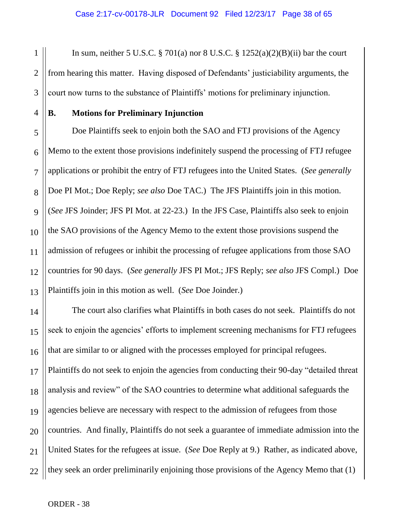1 2 3 In sum, neither 5 U.S.C. § 701(a) nor 8 U.S.C. §  $1252(a)(2)(B)(ii)$  bar the court from hearing this matter. Having disposed of Defendants' justiciability arguments, the court now turns to the substance of Plaintiffs' motions for preliminary injunction.

#### 4

# **B. Motions for Preliminary Injunction**

5 6 7 8 9 10 11 12 13 Doe Plaintiffs seek to enjoin both the SAO and FTJ provisions of the Agency Memo to the extent those provisions indefinitely suspend the processing of FTJ refugee applications or prohibit the entry of FTJ refugees into the United States. (*See generally*  Doe PI Mot.; Doe Reply; *see also* Doe TAC.) The JFS Plaintiffs join in this motion. (*See* JFS Joinder; JFS PI Mot. at 22-23.) In the JFS Case, Plaintiffs also seek to enjoin the SAO provisions of the Agency Memo to the extent those provisions suspend the admission of refugees or inhibit the processing of refugee applications from those SAO countries for 90 days. (*See generally* JFS PI Mot.; JFS Reply; *see also* JFS Compl.) Doe Plaintiffs join in this motion as well. (*See* Doe Joinder.)

14 15 16 17 18 19 20 21 22 The court also clarifies what Plaintiffs in both cases do not seek. Plaintiffs do not seek to enjoin the agencies' efforts to implement screening mechanisms for FTJ refugees that are similar to or aligned with the processes employed for principal refugees. Plaintiffs do not seek to enjoin the agencies from conducting their 90-day "detailed threat analysis and review" of the SAO countries to determine what additional safeguards the agencies believe are necessary with respect to the admission of refugees from those countries. And finally, Plaintiffs do not seek a guarantee of immediate admission into the United States for the refugees at issue. (*See* Doe Reply at 9.) Rather, as indicated above, they seek an order preliminarily enjoining those provisions of the Agency Memo that (1)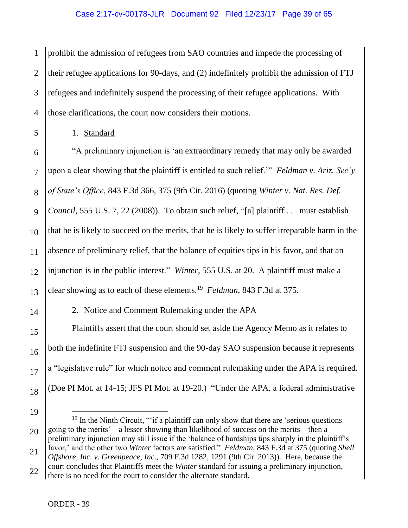1 2 3 4 prohibit the admission of refugees from SAO countries and impede the processing of their refugee applications for 90-days, and (2) indefinitely prohibit the admission of FTJ refugees and indefinitely suspend the processing of their refugee applications. With those clarifications, the court now considers their motions.

1. Standard

5

6 7 8 9 10 11 12 13 "A preliminary injunction is 'an extraordinary remedy that may only be awarded upon a clear showing that the plaintiff is entitled to such relief.'" *Feldman v. Ariz. Sec'y of State's Office*, 843 F.3d 366, 375 (9th Cir. 2016) (quoting *Winter v. Nat. Res. Def. Council*, 555 U.S. 7, 22 (2008)). To obtain such relief, "[a] plaintiff . . . must establish that he is likely to succeed on the merits, that he is likely to suffer irreparable harm in the absence of preliminary relief, that the balance of equities tips in his favor, and that an injunction is in the public interest." *Winter*, 555 U.S. at 20. A plaintiff must make a clear showing as to each of these elements.<sup>19</sup> *Feldman*, 843 F.3d at 375.

14

15

16

17

18

# 2. Notice and Comment Rulemaking under the APA

Plaintiffs assert that the court should set aside the Agency Memo as it relates to both the indefinite FTJ suspension and the 90-day SAO suspension because it represents a "legislative rule" for which notice and comment rulemaking under the APA is required. (Doe PI Mot. at 14-15; JFS PI Mot. at 19-20.) "Under the APA, a federal administrative

19 20 21 22  $\overline{a}$  $19$  In the Ninth Circuit, "'if a plaintiff can only show that there are 'serious questions going to the merits'—a lesser showing than likelihood of success on the merits—then a preliminary injunction may still issue if the 'balance of hardships tips sharply in the plaintiff's favor,' and the other two *Winter* factors are satisfied." *Feldman*, 843 F.3d at 375 (quoting *Shell Offshore, Inc. v. Greenpeace, Inc*., 709 F.3d 1282, 1291 (9th Cir. 2013)). Here, because the court concludes that Plaintiffs meet the *Winter* standard for issuing a preliminary injunction, there is no need for the court to consider the alternate standard.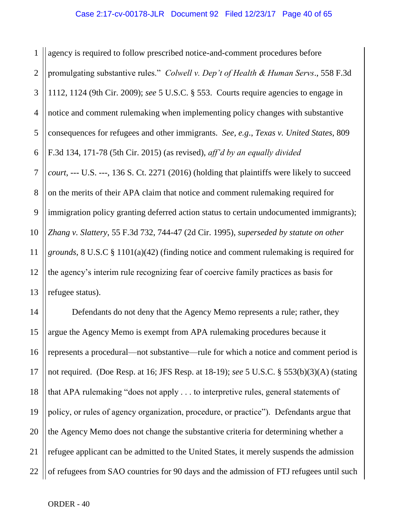1 2 3 4 5 6 7 8 9 10 11 12 13 agency is required to follow prescribed notice-and-comment procedures before promulgating substantive rules." *Colwell v. Dep't of Health & Human Servs*., 558 F.3d 1112, 1124 (9th Cir. 2009); *see* 5 U.S.C. § 553. Courts require agencies to engage in notice and comment rulemaking when implementing policy changes with substantive consequences for refugees and other immigrants. *See, e.g*., *Texas v. United States*, 809 F.3d 134, 171-78 (5th Cir. 2015) (as revised), *aff'd by an equally divided court*, --- U.S. ---, 136 S. Ct. 2271 (2016) (holding that plaintiffs were likely to succeed on the merits of their APA claim that notice and comment rulemaking required for immigration policy granting deferred action status to certain undocumented immigrants); *Zhang v. Slattery*, 55 F.3d 732, 744-47 (2d Cir. 1995), *superseded by statute on other grounds*, 8 U.S.C § 1101(a)(42) (finding notice and comment rulemaking is required for the agency's interim rule recognizing fear of coercive family practices as basis for refugee status).

14 15 16 17 18 19 20 21 22 Defendants do not deny that the Agency Memo represents a rule; rather, they argue the Agency Memo is exempt from APA rulemaking procedures because it represents a procedural—not substantive—rule for which a notice and comment period is not required. (Doe Resp. at 16; JFS Resp. at 18-19); *see* 5 U.S.C. § 553(b)(3)(A) (stating that APA rulemaking "does not apply . . . to interpretive rules, general statements of policy, or rules of agency organization, procedure, or practice"). Defendants argue that the Agency Memo does not change the substantive criteria for determining whether a refugee applicant can be admitted to the United States, it merely suspends the admission of refugees from SAO countries for 90 days and the admission of FTJ refugees until such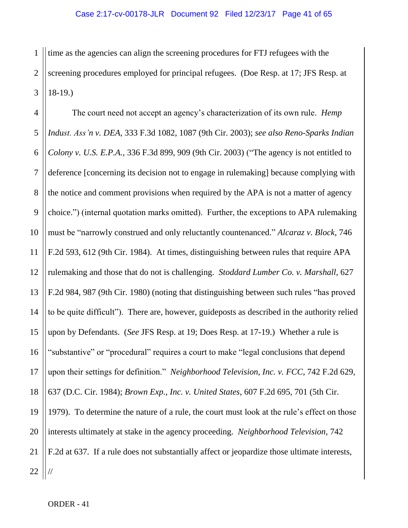1 2 3 time as the agencies can align the screening procedures for FTJ refugees with the screening procedures employed for principal refugees. (Doe Resp. at 17; JFS Resp. at 18-19.)

4 5 6 7 8 9 10 11 12 13 14 15 16 17 18 19 20 21 22 The court need not accept an agency's characterization of its own rule. *Hemp Indust. Ass'n v. DEA*, 333 F.3d 1082, 1087 (9th Cir. 2003); *see also Reno-Sparks Indian Colony v. U.S. E.P.A.*, 336 F.3d 899, 909 (9th Cir. 2003) ("The agency is not entitled to deference [concerning its decision not to engage in rulemaking] because complying with the notice and comment provisions when required by the APA is not a matter of agency choice.") (internal quotation marks omitted). Further, the exceptions to APA rulemaking must be "narrowly construed and only reluctantly countenanced." *Alcaraz v. Block*, 746 F.2d 593, 612 (9th Cir. 1984). At times, distinguishing between rules that require APA rulemaking and those that do not is challenging. *Stoddard Lumber Co. v. Marshall*, 627 F.2d 984, 987 (9th Cir. 1980) (noting that distinguishing between such rules "has proved to be quite difficult"). There are, however, guideposts as described in the authority relied upon by Defendants. (*See* JFS Resp. at 19; Does Resp. at 17-19.) Whether a rule is "substantive" or "procedural" requires a court to make "legal conclusions that depend upon their settings for definition." *Neighborhood Television, Inc. v. FCC*, 742 F.2d 629, 637 (D.C. Cir. 1984); *Brown Exp., Inc. v. United States*, 607 F.2d 695, 701 (5th Cir. 1979). To determine the nature of a rule, the court must look at the rule's effect on those interests ultimately at stake in the agency proceeding. *Neighborhood Television*, 742 F.2d at 637. If a rule does not substantially affect or jeopardize those ultimate interests, //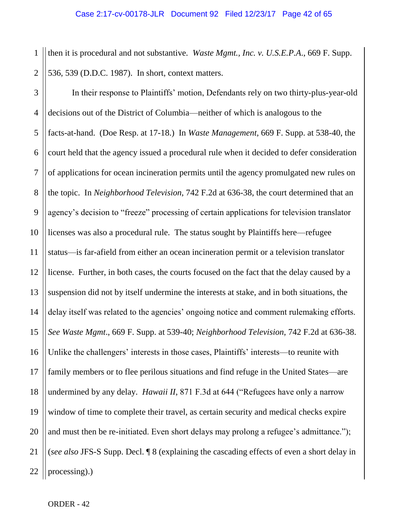1 2 then it is procedural and not substantive. *Waste Mgmt., Inc. v. U.S.E.P.A*., 669 F. Supp. 536, 539 (D.D.C. 1987). In short, context matters.

3 4 5 6 7 8 9 10 11 12 13 14 15 16 17 18 19 20 21 22 In their response to Plaintiffs' motion, Defendants rely on two thirty-plus-year-old decisions out of the District of Columbia—neither of which is analogous to the facts-at-hand. (Doe Resp. at 17-18.) In *Waste Management,* 669 F. Supp. at 538-40, the court held that the agency issued a procedural rule when it decided to defer consideration of applications for ocean incineration permits until the agency promulgated new rules on the topic. In *Neighborhood Television*, 742 F.2d at 636-38, the court determined that an agency's decision to "freeze" processing of certain applications for television translator licenses was also a procedural rule. The status sought by Plaintiffs here—refugee status—is far-afield from either an ocean incineration permit or a television translator license. Further, in both cases, the courts focused on the fact that the delay caused by a suspension did not by itself undermine the interests at stake, and in both situations, the delay itself was related to the agencies' ongoing notice and comment rulemaking efforts. *See Waste Mgmt*., 669 F. Supp. at 539-40; *Neighborhood Television*, 742 F.2d at 636-38. Unlike the challengers' interests in those cases, Plaintiffs' interests—to reunite with family members or to flee perilous situations and find refuge in the United States—are undermined by any delay. *Hawaii II*, 871 F.3d at 644 ("Refugees have only a narrow window of time to complete their travel, as certain security and medical checks expire and must then be re-initiated. Even short delays may prolong a refugee's admittance."); (*see also* JFS-S Supp. Decl. ¶ 8 (explaining the cascading effects of even a short delay in processing).)

ORDER - 42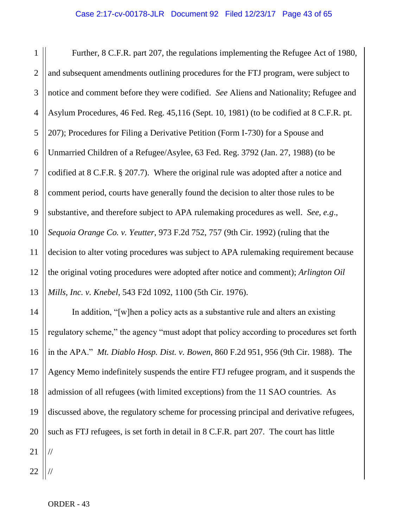1 2 3 4 5 6 7 8 9 10 11 12 13 Further, 8 C.F.R. part 207, the regulations implementing the Refugee Act of 1980, and subsequent amendments outlining procedures for the FTJ program, were subject to notice and comment before they were codified. *See* Aliens and Nationality; Refugee and Asylum Procedures, 46 Fed. Reg. 45,116 (Sept. 10, 1981) (to be codified at 8 C.F.R. pt. 207); Procedures for Filing a Derivative Petition (Form I-730) for a Spouse and Unmarried Children of a Refugee/Asylee, 63 Fed. Reg. 3792 (Jan. 27, 1988) (to be codified at 8 C.F.R. § 207.7). Where the original rule was adopted after a notice and comment period, courts have generally found the decision to alter those rules to be substantive, and therefore subject to APA rulemaking procedures as well. *See, e.g*., *Sequoia Orange Co. v. Yeutter*, 973 F.2d 752, 757 (9th Cir. 1992) (ruling that the decision to alter voting procedures was subject to APA rulemaking requirement because the original voting procedures were adopted after notice and comment); *Arlington Oil Mills, Inc. v. Knebel*, 543 F2d 1092, 1100 (5th Cir. 1976).

14 15 16 17 18 19 20 21 22 In addition, "[w]hen a policy acts as a substantive rule and alters an existing regulatory scheme," the agency "must adopt that policy according to procedures set forth in the APA." *Mt. Diablo Hosp. Dist. v. Bowen*, 860 F.2d 951, 956 (9th Cir. 1988). The Agency Memo indefinitely suspends the entire FTJ refugee program, and it suspends the admission of all refugees (with limited exceptions) from the 11 SAO countries. As discussed above, the regulatory scheme for processing principal and derivative refugees, such as FTJ refugees, is set forth in detail in 8 C.F.R. part 207. The court has little // //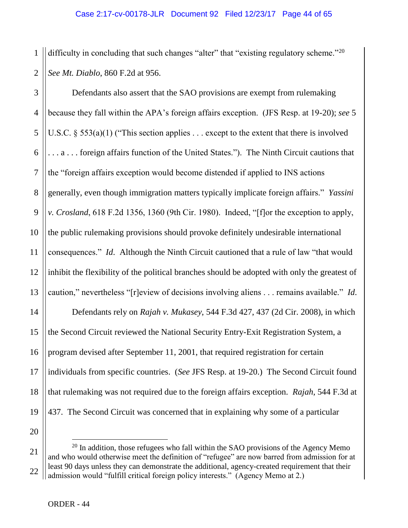1 2 difficulty in concluding that such changes "alter" that "existing regulatory scheme."<sup>20</sup> *See Mt. Diablo*, 860 F.2d at 956.

3 4 5 6 7 8 9 10 11 12 13 14 15 16 17 18 19 Defendants also assert that the SAO provisions are exempt from rulemaking because they fall within the APA's foreign affairs exception. (JFS Resp. at 19-20); *see* 5 U.S.C.  $\S$  553(a)(1) ("This section applies ... except to the extent that there is involved . . . a . . . foreign affairs function of the United States."). The Ninth Circuit cautions that the "foreign affairs exception would become distended if applied to INS actions generally, even though immigration matters typically implicate foreign affairs." *Yassini v. Crosland*, 618 F.2d 1356, 1360 (9th Cir. 1980). Indeed, "[f]or the exception to apply, the public rulemaking provisions should provoke definitely undesirable international consequences." *Id*. Although the Ninth Circuit cautioned that a rule of law "that would inhibit the flexibility of the political branches should be adopted with only the greatest of caution," nevertheless "[r]eview of decisions involving aliens . . . remains available." *Id*. Defendants rely on *Rajah v. Mukasey*, 544 F.3d 427, 437 (2d Cir. 2008), in which the Second Circuit reviewed the National Security Entry-Exit Registration System, a program devised after September 11, 2001, that required registration for certain individuals from specific countries. (*See* JFS Resp. at 19-20.) The Second Circuit found that rulemaking was not required due to the foreign affairs exception. *Rajah*, 544 F.3d at 437. The Second Circuit was concerned that in explaining why some of a particular

21 22  $20$  In addition, those refugees who fall within the SAO provisions of the Agency Memo and who would otherwise meet the definition of "refugee" are now barred from admission for at least 90 days unless they can demonstrate the additional, agency-created requirement that their admission would "fulfill critical foreign policy interests." (Agency Memo at 2.)

 $\overline{a}$ 

20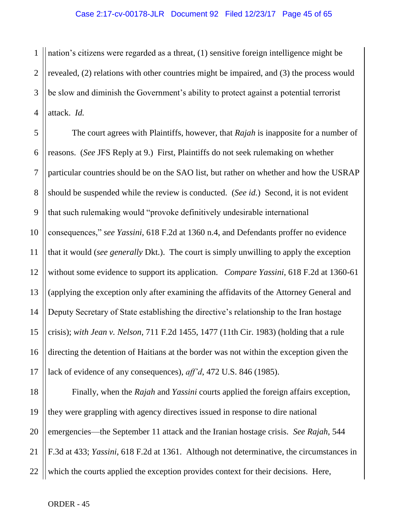1 2 3 4 nation's citizens were regarded as a threat, (1) sensitive foreign intelligence might be revealed, (2) relations with other countries might be impaired, and (3) the process would be slow and diminish the Government's ability to protect against a potential terrorist attack. *Id.* 

5 6 7 8 9 10 11 12 13 14 15 16 17 The court agrees with Plaintiffs, however, that *Rajah* is inapposite for a number of reasons. (*See* JFS Reply at 9.) First, Plaintiffs do not seek rulemaking on whether particular countries should be on the SAO list, but rather on whether and how the USRAP should be suspended while the review is conducted. (*See id.*) Second, it is not evident that such rulemaking would "provoke definitively undesirable international consequences," *see Yassini*, 618 F.2d at 1360 n.4, and Defendants proffer no evidence that it would (*see generally* Dkt.). The court is simply unwilling to apply the exception without some evidence to support its application. *Compare Yassini*, 618 F.2d at 1360-61 (applying the exception only after examining the affidavits of the Attorney General and Deputy Secretary of State establishing the directive's relationship to the Iran hostage crisis); *with Jean v. Nelson*, 711 F.2d 1455, 1477 (11th Cir. 1983) (holding that a rule directing the detention of Haitians at the border was not within the exception given the lack of evidence of any consequences), *aff'd*, 472 U.S. 846 (1985).

18 19 20 21 22 Finally, when the *Rajah* and *Yassini* courts applied the foreign affairs exception, they were grappling with agency directives issued in response to dire national emergencies—the September 11 attack and the Iranian hostage crisis. *See Rajah*, 544 F.3d at 433; *Yassini*, 618 F.2d at 1361. Although not determinative, the circumstances in which the courts applied the exception provides context for their decisions. Here,

ORDER - 45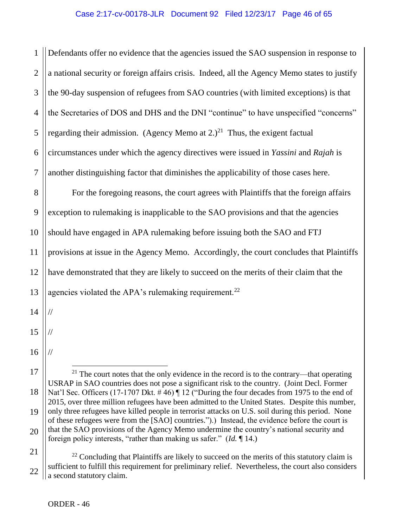1 2 3 4 5 6 7 8 9 10 11 12 13 14 15 16 17 18 19 20 21 Defendants offer no evidence that the agencies issued the SAO suspension in response to a national security or foreign affairs crisis. Indeed, all the Agency Memo states to justify the 90-day suspension of refugees from SAO countries (with limited exceptions) is that the Secretaries of DOS and DHS and the DNI "continue" to have unspecified "concerns" regarding their admission. (Agency Memo at  $2.2^{21}$  Thus, the exigent factual circumstances under which the agency directives were issued in *Yassini* and *Rajah* is another distinguishing factor that diminishes the applicability of those cases here. For the foregoing reasons, the court agrees with Plaintiffs that the foreign affairs exception to rulemaking is inapplicable to the SAO provisions and that the agencies should have engaged in APA rulemaking before issuing both the SAO and FTJ provisions at issue in the Agency Memo. Accordingly, the court concludes that Plaintiffs have demonstrated that they are likely to succeed on the merits of their claim that the agencies violated the APA's rulemaking requirement.<sup>22</sup> // // //  $\overline{a}$  $21$  The court notes that the only evidence in the record is to the contrary—that operating USRAP in SAO countries does not pose a significant risk to the country. (Joint Decl. Former Nat'l Sec. Officers (17-1707 Dkt. #46) | 12 ("During the four decades from 1975 to the end of 2015, over three million refugees have been admitted to the United States. Despite this number, only three refugees have killed people in terrorist attacks on U.S. soil during this period. None of these refugees were from the [SAO] countries.").) Instead, the evidence before the court is that the SAO provisions of the Agency Memo undermine the country's national security and foreign policy interests, "rather than making us safer." (*Id.* ¶ 14.)  $22$  Concluding that Plaintiffs are likely to succeed on the merits of this statutory claim is

22 sufficient to fulfill this requirement for preliminary relief. Nevertheless, the court also considers a second statutory claim.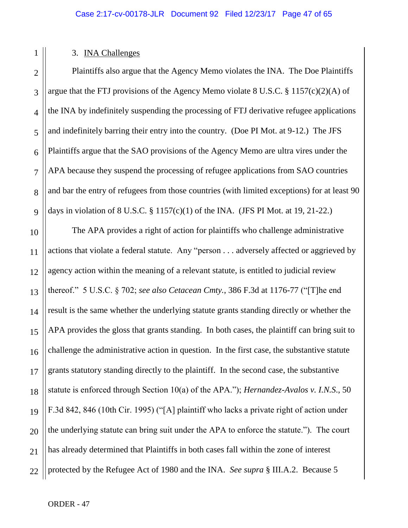# 2 3 4 5 6 7 8 9 10 11 12 13 14 15 16 17 18 19 20 21

1

# 3. INA Challenges

Plaintiffs also argue that the Agency Memo violates the INA. The Doe Plaintiffs argue that the FTJ provisions of the Agency Memo violate 8 U.S.C. § 1157(c)(2)(A) of the INA by indefinitely suspending the processing of FTJ derivative refugee applications and indefinitely barring their entry into the country. (Doe PI Mot. at 9-12.) The JFS Plaintiffs argue that the SAO provisions of the Agency Memo are ultra vires under the APA because they suspend the processing of refugee applications from SAO countries and bar the entry of refugees from those countries (with limited exceptions) for at least 90 days in violation of 8 U.S.C.  $\S 1157(c)(1)$  of the INA. (JFS PI Mot. at 19, 21-22.)

22 The APA provides a right of action for plaintiffs who challenge administrative actions that violate a federal statute. Any "person . . . adversely affected or aggrieved by agency action within the meaning of a relevant statute, is entitled to judicial review thereof." 5 U.S.C. § 702; *see also Cetacean Cmty.*, 386 F.3d at 1176-77 ("[T]he end result is the same whether the underlying statute grants standing directly or whether the APA provides the gloss that grants standing. In both cases, the plaintiff can bring suit to challenge the administrative action in question. In the first case, the substantive statute grants statutory standing directly to the plaintiff. In the second case, the substantive statute is enforced through Section 10(a) of the APA."); *Hernandez-Avalos v. I.N.S*., 50 F.3d 842, 846 (10th Cir. 1995) ("[A] plaintiff who lacks a private right of action under the underlying statute can bring suit under the APA to enforce the statute."). The court has already determined that Plaintiffs in both cases fall within the zone of interest protected by the Refugee Act of 1980 and the INA. *See supra* § III.A.2. Because 5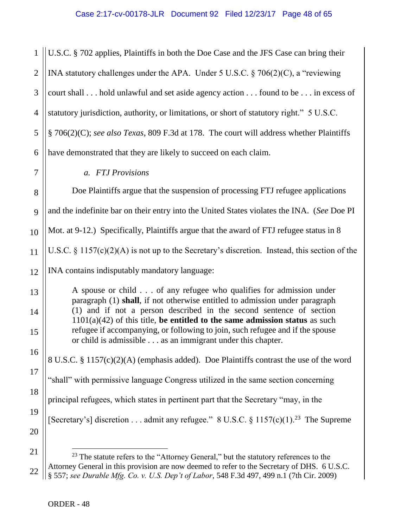1 2 3 4 5 6 7 8 9 10 11 12 13 14 15 16 17 18 19 20 21 U.S.C. § 702 applies, Plaintiffs in both the Doe Case and the JFS Case can bring their INA statutory challenges under the APA. Under 5 U.S.C. § 706(2)(C), a "reviewing court shall . . . hold unlawful and set aside agency action . . . found to be . . . in excess of statutory jurisdiction, authority, or limitations, or short of statutory right." 5 U.S.C. § 706(2)(C); *see also Texas*, 809 F.3d at 178. The court will address whether Plaintiffs have demonstrated that they are likely to succeed on each claim. *a. FTJ Provisions* Doe Plaintiffs argue that the suspension of processing FTJ refugee applications and the indefinite bar on their entry into the United States violates the INA. (*See* Doe PI Mot. at 9-12.) Specifically, Plaintiffs argue that the award of FTJ refugee status in 8 U.S.C.  $\S$  1157(c)(2)(A) is not up to the Secretary's discretion. Instead, this section of the INA contains indisputably mandatory language: A spouse or child . . . of any refugee who qualifies for admission under paragraph (1) **shall**, if not otherwise entitled to admission under paragraph (1) and if not a person described in the second sentence of section 1101(a)(42) of this title, **be entitled to the same admission status** as such refugee if accompanying, or following to join, such refugee and if the spouse or child is admissible . . . as an immigrant under this chapter. 8 U.S.C. § 1157(c)(2)(A) (emphasis added). Doe Plaintiffs contrast the use of the word "shall" with permissive language Congress utilized in the same section concerning principal refugees, which states in pertinent part that the Secretary "may, in the [Secretary's] discretion . . . admit any refugee." 8 U.S.C. § 1157(c)(1).<sup>23</sup> The Supreme  $\overline{a}$ 

<sup>22</sup>  $23$  The statute refers to the "Attorney General," but the statutory references to the Attorney General in this provision are now deemed to refer to the Secretary of DHS. 6 U.S.C. § 557; *see Durable Mfg. Co. v. U.S. Dep't of Labor*, 548 F.3d 497, 499 n.1 (7th Cir. 2009)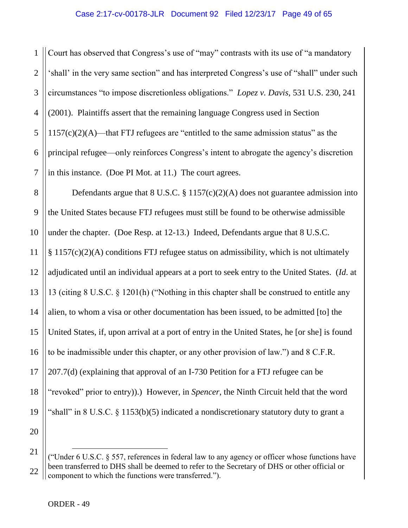1 2 3 4 5 6 7 Court has observed that Congress's use of "may" contrasts with its use of "a mandatory 'shall' in the very same section" and has interpreted Congress's use of "shall" under such circumstances "to impose discretionless obligations." *Lopez v. Davis*, 531 U.S. 230, 241 (2001). Plaintiffs assert that the remaining language Congress used in Section  $1157(c)(2)(A)$ —that FTJ refugees are "entitled to the same admission status" as the principal refugee—only reinforces Congress's intent to abrogate the agency's discretion in this instance. (Doe PI Mot. at 11.) The court agrees.

8 9 10 11 12 13 14 15 16 17 18 19 20 Defendants argue that  $8 \text{ U.S.C. } \frac{8}{9} \frac{1157(c)(2)(\text{A})}{\text{A}}$  does not guarantee admission into the United States because FTJ refugees must still be found to be otherwise admissible under the chapter. (Doe Resp. at 12-13.) Indeed, Defendants argue that 8 U.S.C. § 1157(c)(2)(A) conditions FTJ refugee status on admissibility, which is not ultimately adjudicated until an individual appears at a port to seek entry to the United States. (*Id*. at 13 (citing 8 U.S.C. § 1201(h) ("Nothing in this chapter shall be construed to entitle any alien, to whom a visa or other documentation has been issued, to be admitted [to] the United States, if, upon arrival at a port of entry in the United States, he [or she] is found to be inadmissible under this chapter, or any other provision of law.") and 8 C.F.R. 207.7(d) (explaining that approval of an I-730 Petition for a FTJ refugee can be "revoked" prior to entry)).) However, in *Spencer*, the Ninth Circuit held that the word "shall" in 8 U.S.C. § 1153(b)(5) indicated a nondiscretionary statutory duty to grant a

<sup>21</sup> 22 ("Under 6 U.S.C. § 557, references in federal law to any agency or officer whose functions have been transferred to DHS shall be deemed to refer to the Secretary of DHS or other official or component to which the functions were transferred.").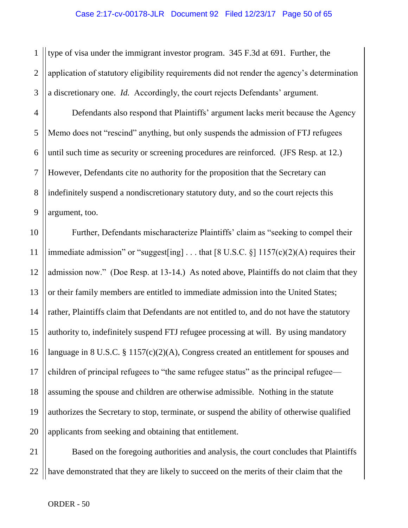1 2 3 type of visa under the immigrant investor program. 345 F.3d at 691. Further, the application of statutory eligibility requirements did not render the agency's determination a discretionary one. *Id.* Accordingly, the court rejects Defendants' argument.

4 5 6 7 8 9 Defendants also respond that Plaintiffs' argument lacks merit because the Agency Memo does not "rescind" anything, but only suspends the admission of FTJ refugees until such time as security or screening procedures are reinforced. (JFS Resp. at 12.) However, Defendants cite no authority for the proposition that the Secretary can indefinitely suspend a nondiscretionary statutory duty, and so the court rejects this argument, too.

10 11 12 13 14 15 16 17 18 19 20 Further, Defendants mischaracterize Plaintiffs' claim as "seeking to compel their immediate admission" or "suggest[ing] ... that  $[8 \text{ U.S.C. } \S]$  1157(c)(2)(A) requires their admission now." (Doe Resp. at 13-14.) As noted above, Plaintiffs do not claim that they or their family members are entitled to immediate admission into the United States; rather, Plaintiffs claim that Defendants are not entitled to, and do not have the statutory authority to, indefinitely suspend FTJ refugee processing at will. By using mandatory language in 8 U.S.C. § 1157(c)(2)(A), Congress created an entitlement for spouses and children of principal refugees to "the same refugee status" as the principal refugee assuming the spouse and children are otherwise admissible. Nothing in the statute authorizes the Secretary to stop, terminate, or suspend the ability of otherwise qualified applicants from seeking and obtaining that entitlement.

21 22 Based on the foregoing authorities and analysis, the court concludes that Plaintiffs have demonstrated that they are likely to succeed on the merits of their claim that the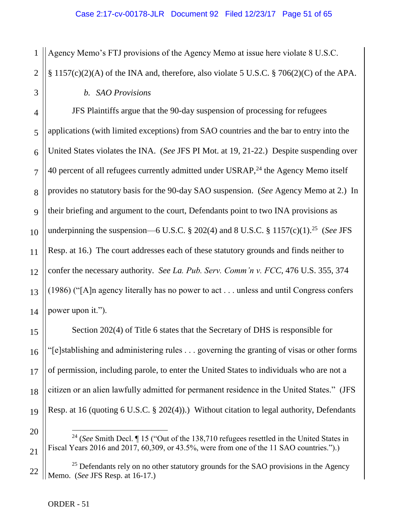Agency Memo's FTJ provisions of the Agency Memo at issue here violate 8 U.S.C.

2  $\S 1157(c)(2)(A)$  of the INA and, therefore, also violate 5 U.S.C.  $\S 706(2)(C)$  of the APA.

# *b. SAO Provisions*

JFS Plaintiffs argue that the 90-day suspension of processing for refugees applications (with limited exceptions) from SAO countries and the bar to entry into the United States violates the INA. (*See* JFS PI Mot. at 19, 21-22.) Despite suspending over 40 percent of all refugees currently admitted under USRAP,<sup>24</sup> the Agency Memo itself provides no statutory basis for the 90-day SAO suspension. (*See* Agency Memo at 2.) In their briefing and argument to the court, Defendants point to two INA provisions as underpinning the suspension—6 U.S.C.  $\S 202(4)$  and  $8$  U.S.C.  $\S 1157(c)(1)$ .<sup>25</sup> (*See JFS* Resp. at 16.) The court addresses each of these statutory grounds and finds neither to confer the necessary authority. *See La. Pub. Serv. Comm'n v. FCC*, 476 U.S. 355, 374 (1986) ("[A]n agency literally has no power to act . . . unless and until Congress confers power upon it.").

Section 202(4) of Title 6 states that the Secretary of DHS is responsible for "[e]stablishing and administering rules . . . governing the granting of visas or other forms of permission, including parole, to enter the United States to individuals who are not a citizen or an alien lawfully admitted for permanent residence in the United States." (JFS Resp. at 16 (quoting 6 U.S.C. § 202(4)).) Without citation to legal authority, Defendants

- <sup>24</sup> (*See* Smith Decl. ¶ 15 ("Out of the 138,710 refugees resettled in the United States in Fiscal Years 2016 and 2017, 60,309, or 43.5%, were from one of the 11 SAO countries.").)
- $25$  Defendants rely on no other statutory grounds for the SAO provisions in the Agency Memo. (*See* JFS Resp. at 16-17.)

 $\overline{a}$ 

1

3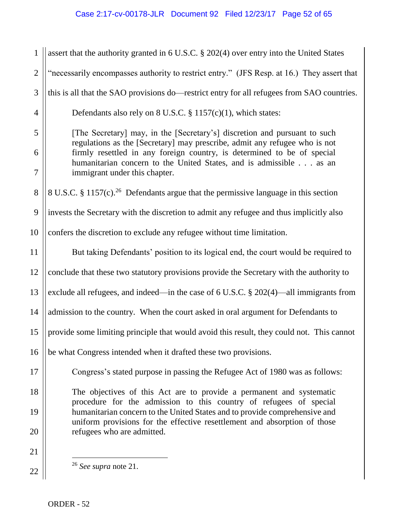# Case 2:17-cv-00178-JLR Document 92 Filed 12/23/17 Page 52 of 65

| $\mathbf{1}$   | assert that the authority granted in 6 U.S.C. § 202(4) over entry into the United States                                                                |  |
|----------------|---------------------------------------------------------------------------------------------------------------------------------------------------------|--|
| $\mathbf{2}$   | "necessarily encompasses authority to restrict entry." (JFS Resp. at 16.) They assert that                                                              |  |
| $\mathfrak{Z}$ | this is all that the SAO provisions do—restrict entry for all refugees from SAO countries.                                                              |  |
| $\overline{4}$ | Defendants also rely on 8 U.S.C. $\S$ 1157(c)(1), which states:                                                                                         |  |
| 5              | [The Secretary] may, in the [Secretary's] discretion and pursuant to such<br>regulations as the [Secretary] may prescribe, admit any refugee who is not |  |
| 6              | firmly resettled in any foreign country, is determined to be of special                                                                                 |  |
| $\overline{7}$ | humanitarian concern to the United States, and is admissible as an<br>immigrant under this chapter.                                                     |  |
| 8              | 8 U.S.C. § 1157 $(c)$ . <sup>26</sup> Defendants argue that the permissive language in this section                                                     |  |
| 9              | invests the Secretary with the discretion to admit any refugee and thus implicitly also                                                                 |  |
| 10             | confers the discretion to exclude any refugee without time limitation.                                                                                  |  |
| 11             | But taking Defendants' position to its logical end, the court would be required to                                                                      |  |
| 12             | conclude that these two statutory provisions provide the Secretary with the authority to                                                                |  |
| 13             | exclude all refugees, and indeed—in the case of $6$ U.S.C. $\S$ 202(4)—all immigrants from                                                              |  |
| 14             | admission to the country. When the court asked in oral argument for Defendants to                                                                       |  |
| 15             | provide some limiting principle that would avoid this result, they could not. This cannot                                                               |  |
| 16             | be what Congress intended when it drafted these two provisions.                                                                                         |  |
| 17             | Congress's stated purpose in passing the Refugee Act of 1980 was as follows:                                                                            |  |
| 18             | The objectives of this Act are to provide a permanent and systematic<br>procedure for the admission to this country of refugees of special              |  |
| 19             | humanitarian concern to the United States and to provide comprehensive and<br>uniform provisions for the effective resettlement and absorption of those |  |
| 20             | refugees who are admitted.                                                                                                                              |  |
| 21             |                                                                                                                                                         |  |
| 22             | <sup>26</sup> See supra note 21.                                                                                                                        |  |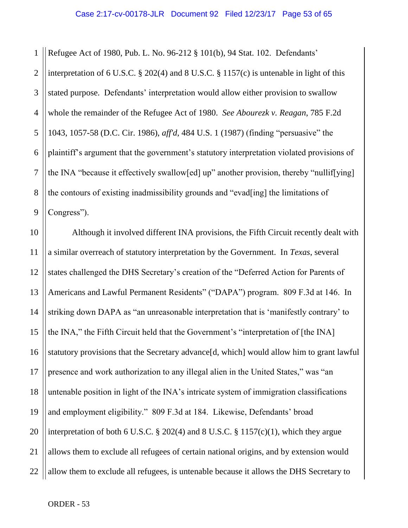1 2 3 4 5 6 7 8 9 Refugee Act of 1980, Pub. L. No. 96-212 § 101(b), 94 Stat. 102. Defendants' interpretation of 6 U.S.C. § 202(4) and 8 U.S.C. § 1157(c) is untenable in light of this stated purpose. Defendants' interpretation would allow either provision to swallow whole the remainder of the Refugee Act of 1980. *See Abourezk v. Reagan*, 785 F.2d 1043, 1057-58 (D.C. Cir. 1986), *aff'd*, 484 U.S. 1 (1987) (finding "persuasive" the plaintiff's argument that the government's statutory interpretation violated provisions of the INA "because it effectively swallow[ed] up" another provision, thereby "nullif[ying] the contours of existing inadmissibility grounds and "evad[ing] the limitations of Congress").

10 11 12 13 14 15 16 17 18 19 20 21 22 Although it involved different INA provisions, the Fifth Circuit recently dealt with a similar overreach of statutory interpretation by the Government. In *Texas*, several states challenged the DHS Secretary's creation of the "Deferred Action for Parents of Americans and Lawful Permanent Residents" ("DAPA") program. 809 F.3d at 146. In striking down DAPA as "an unreasonable interpretation that is 'manifestly contrary' to the INA," the Fifth Circuit held that the Government's "interpretation of [the INA] statutory provisions that the Secretary advance[d, which] would allow him to grant lawful presence and work authorization to any illegal alien in the United States," was "an untenable position in light of the INA's intricate system of immigration classifications and employment eligibility." 809 F.3d at 184. Likewise, Defendants' broad interpretation of both 6 U.S.C.  $\S 202(4)$  and 8 U.S.C.  $\S 1157(c)(1)$ , which they argue allows them to exclude all refugees of certain national origins, and by extension would allow them to exclude all refugees, is untenable because it allows the DHS Secretary to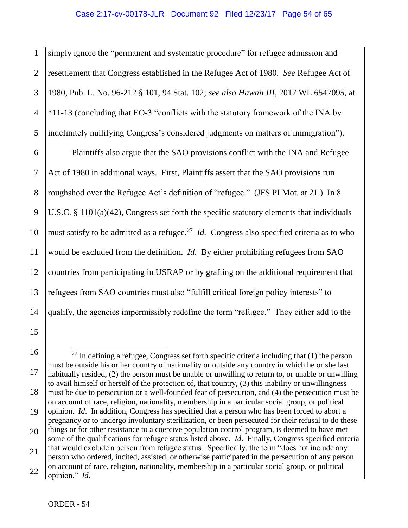1 2 3 4 5 simply ignore the "permanent and systematic procedure" for refugee admission and resettlement that Congress established in the Refugee Act of 1980. *See* Refugee Act of 1980, Pub. L. No. 96-212 § 101, 94 Stat. 102; *see also Hawaii III*, 2017 WL 6547095, at \*11-13 (concluding that EO-3 "conflicts with the statutory framework of the INA by indefinitely nullifying Congress's considered judgments on matters of immigration").

6 7 8 9 10 11 12 13 14 Plaintiffs also argue that the SAO provisions conflict with the INA and Refugee Act of 1980 in additional ways. First, Plaintiffs assert that the SAO provisions run roughshod over the Refugee Act's definition of "refugee." (JFS PI Mot. at 21.) In 8 U.S.C. § 1101(a)(42), Congress set forth the specific statutory elements that individuals must satisfy to be admitted as a refugee.<sup>27</sup> *Id.* Congress also specified criteria as to who would be excluded from the definition. *Id.* By either prohibiting refugees from SAO countries from participating in USRAP or by grafting on the additional requirement that refugees from SAO countries must also "fulfill critical foreign policy interests" to qualify, the agencies impermissibly redefine the term "refugee." They either add to the

16 17 18 19 20 21  $\overline{a}$  $^{27}$  In defining a refugee, Congress set forth specific criteria including that (1) the person must be outside his or her country of nationality or outside any country in which he or she last habitually resided, (2) the person must be unable or unwilling to return to, or unable or unwilling to avail himself or herself of the protection of, that country, (3) this inability or unwillingness must be due to persecution or a well-founded fear of persecution, and (4) the persecution must be on account of race, religion, nationality, membership in a particular social group, or political opinion. *Id*. In addition, Congress has specified that a person who has been forced to abort a pregnancy or to undergo involuntary sterilization, or been persecuted for their refusal to do these things or for other resistance to a coercive population control program, is deemed to have met some of the qualifications for refugee status listed above. *Id*. Finally, Congress specified criteria that would exclude a person from refugee status. Specifically, the term "does not include any person who ordered, incited, assisted, or otherwise participated in the persecution of any person on account of race, religion, nationality, membership in a particular social group, or political

15

<sup>22</sup> opinion." *Id*.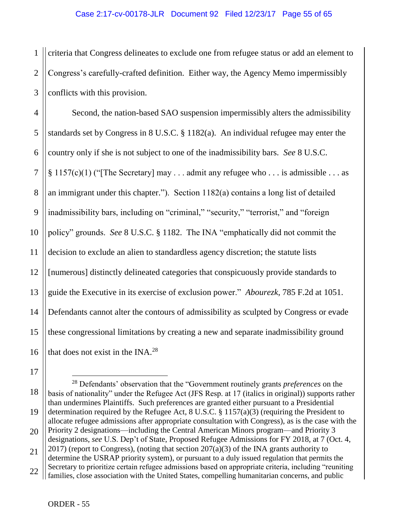1 2 3 criteria that Congress delineates to exclude one from refugee status or add an element to Congress's carefully-crafted definition. Either way, the Agency Memo impermissibly conflicts with this provision.

4 5 6 7 8 9 10 11 12 13 14 15 16 Second, the nation-based SAO suspension impermissibly alters the admissibility standards set by Congress in 8 U.S.C. § 1182(a). An individual refugee may enter the country only if she is not subject to one of the inadmissibility bars. *See* 8 U.S.C.  $§ 1157(c)(1)$  ("The Secretary] may ... admit any refugee who ... is admissible ... as an immigrant under this chapter."). Section 1182(a) contains a long list of detailed inadmissibility bars, including on "criminal," "security," "terrorist," and "foreign policy" grounds. *See* 8 U.S.C. § 1182. The INA "emphatically did not commit the decision to exclude an alien to standardless agency discretion; the statute lists [numerous] distinctly delineated categories that conspicuously provide standards to guide the Executive in its exercise of exclusion power." *Abourezk*, 785 F.2d at 1051. Defendants cannot alter the contours of admissibility as sculpted by Congress or evade these congressional limitations by creating a new and separate inadmissibility ground that does not exist in the INA.<sup>28</sup>

17

<sup>18</sup> 19 <sup>28</sup> Defendants' observation that the "Government routinely grants *preferences* on the basis of nationality" under the Refugee Act (JFS Resp. at 17 (italics in original)) supports rather than undermines Plaintiffs. Such preferences are granted either pursuant to a Presidential determination required by the Refugee Act, 8 U.S.C. § 1157(a)(3) (requiring the President to allocate refugee admissions after appropriate consultation with Congress), as is the case with the Priority 2 designations—including the Central American Minors program—and Priority 3

<sup>20</sup> designations, *see* U.S. Dep't of State, Proposed Refugee Admissions for FY 2018, at 7 (Oct. 4,

<sup>21</sup>  $2017$ ) (report to Congress), (noting that section  $207(a)(3)$  of the INA grants authority to determine the USRAP priority system), or pursuant to a duly issued regulation that permits the Secretary to prioritize certain refugee admissions based on appropriate criteria, including "reuniting

<sup>22</sup> families, close association with the United States, compelling humanitarian concerns, and public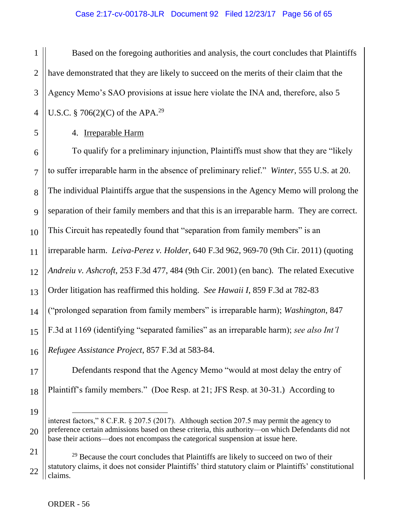1 2 3 4 Based on the foregoing authorities and analysis, the court concludes that Plaintiffs have demonstrated that they are likely to succeed on the merits of their claim that the Agency Memo's SAO provisions at issue here violate the INA and, therefore, also 5 U.S.C. § 706(2)(C) of the APA.<sup>29</sup>

4. Irreparable Harm

6 7 8 9 10 11 12 13 14 15 16 To qualify for a preliminary injunction, Plaintiffs must show that they are "likely to suffer irreparable harm in the absence of preliminary relief." *Winter*, 555 U.S. at 20. The individual Plaintiffs argue that the suspensions in the Agency Memo will prolong the separation of their family members and that this is an irreparable harm. They are correct. This Circuit has repeatedly found that "separation from family members" is an irreparable harm. *Leiva-Perez v. Holder*, 640 F.3d 962, 969-70 (9th Cir. 2011) (quoting *Andreiu v. Ashcroft*, 253 F.3d 477, 484 (9th Cir. 2001) (en banc). The related Executive Order litigation has reaffirmed this holding. *See Hawaii I*, 859 F.3d at 782-83 ("prolonged separation from family members" is irreparable harm); *Washington*, 847 F.3d at 1169 (identifying "separated families" as an irreparable harm); *see also Int'l Refugee Assistance Project*, 857 F.3d at 583-84.

Defendants respond that the Agency Memo "would at most delay the entry of Plaintiff's family members." (Doe Resp. at 21; JFS Resp. at 30-31.) According to

19

20

17

18

5

interest factors," 8 C.F.R. § 207.5 (2017). Although section 207.5 may permit the agency to preference certain admissions based on these criteria, this authority—on which Defendants did not base their actions—does not encompass the categorical suspension at issue here.

<sup>21</sup> 22  $29$  Because the court concludes that Plaintiffs are likely to succeed on two of their statutory claims, it does not consider Plaintiffs' third statutory claim or Plaintiffs' constitutional claims.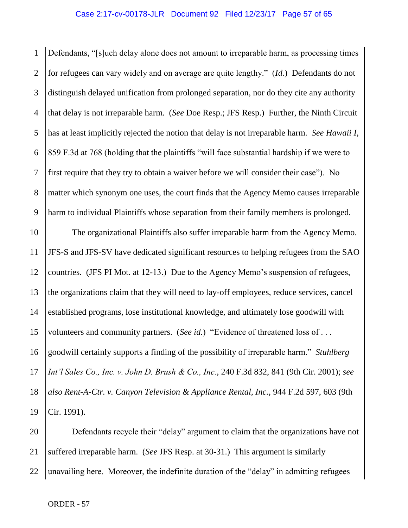1 2 3 4 5 6 7 8 9 Defendants, "[s]uch delay alone does not amount to irreparable harm, as processing times for refugees can vary widely and on average are quite lengthy." (*Id.*) Defendants do not distinguish delayed unification from prolonged separation, nor do they cite any authority that delay is not irreparable harm. (*See* Doe Resp.; JFS Resp.) Further, the Ninth Circuit has at least implicitly rejected the notion that delay is not irreparable harm. *See Hawaii I*, 859 F.3d at 768 (holding that the plaintiffs "will face substantial hardship if we were to first require that they try to obtain a waiver before we will consider their case"). No matter which synonym one uses, the court finds that the Agency Memo causes irreparable harm to individual Plaintiffs whose separation from their family members is prolonged.

10 11 12 13 14 15 16 17 18 19 The organizational Plaintiffs also suffer irreparable harm from the Agency Memo. JFS-S and JFS-SV have dedicated significant resources to helping refugees from the SAO countries. (JFS PI Mot. at 12-13.) Due to the Agency Memo's suspension of refugees, the organizations claim that they will need to lay-off employees, reduce services, cancel established programs, lose institutional knowledge, and ultimately lose goodwill with volunteers and community partners. (*See id.*) "Evidence of threatened loss of . . . goodwill certainly supports a finding of the possibility of irreparable harm." *Stuhlberg Int'l Sales Co., Inc. v. John D. Brush & Co., Inc.*, 240 F.3d 832, 841 (9th Cir. 2001); *see also Rent-A-Ctr. v. Canyon Television & Appliance Rental, Inc.*, 944 F.2d 597, 603 (9th Cir. 1991).

20 21 22 Defendants recycle their "delay" argument to claim that the organizations have not suffered irreparable harm. (*See* JFS Resp. at 30-31.) This argument is similarly unavailing here. Moreover, the indefinite duration of the "delay" in admitting refugees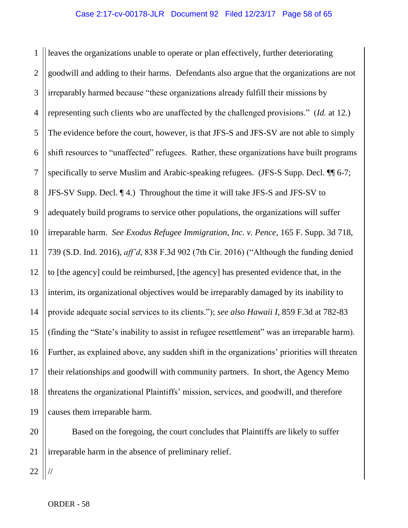1 2 3 4 5 6 7 8 9 10 11 12 13 14 15 16 17 18 19 leaves the organizations unable to operate or plan effectively, further deteriorating goodwill and adding to their harms. Defendants also argue that the organizations are not irreparably harmed because "these organizations already fulfill their missions by representing such clients who are unaffected by the challenged provisions." (*Id.* at 12.) The evidence before the court, however, is that JFS-S and JFS-SV are not able to simply shift resources to "unaffected" refugees. Rather, these organizations have built programs specifically to serve Muslim and Arabic-speaking refugees. (JFS-S Supp. Decl.  $\P\P$  6-7; JFS-SV Supp. Decl. ¶ 4.) Throughout the time it will take JFS-S and JFS-SV to adequately build programs to service other populations, the organizations will suffer irreparable harm. *See Exodus Refugee Immigration, Inc. v. Pence*, 165 F. Supp. 3d 718, 739 (S.D. Ind. 2016), *aff'd*, 838 F.3d 902 (7th Cir. 2016) ("Although the funding denied to [the agency] could be reimbursed, [the agency] has presented evidence that, in the interim, its organizational objectives would be irreparably damaged by its inability to provide adequate social services to its clients."); *see also Hawaii I*, 859 F.3d at 782-83 (finding the "State's inability to assist in refugee resettlement" was an irreparable harm). Further, as explained above, any sudden shift in the organizations' priorities will threaten their relationships and goodwill with community partners. In short, the Agency Memo threatens the organizational Plaintiffs' mission, services, and goodwill, and therefore causes them irreparable harm.

20 21 Based on the foregoing, the court concludes that Plaintiffs are likely to suffer irreparable harm in the absence of preliminary relief.

22

//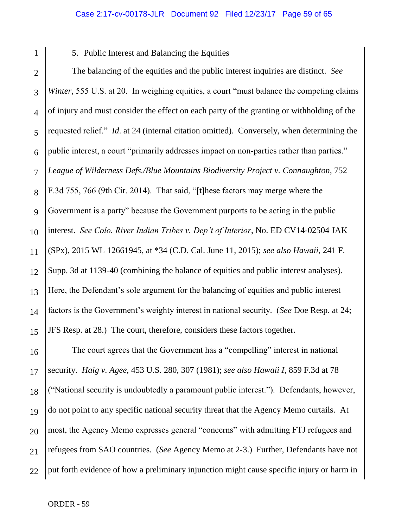2 3 4

1

# 5. Public Interest and Balancing the Equities

5 6 7 8 9 10 11 12 13 14 15 The balancing of the equities and the public interest inquiries are distinct. *See Winter*, 555 U.S. at 20. In weighing equities, a court "must balance the competing claims of injury and must consider the effect on each party of the granting or withholding of the requested relief." *Id*. at 24 (internal citation omitted). Conversely, when determining the public interest, a court "primarily addresses impact on non-parties rather than parties." *League of Wilderness Defs./Blue Mountains Biodiversity Project v. Connaughton*, 752 F.3d 755, 766 (9th Cir. 2014). That said, "[t]hese factors may merge where the Government is a party" because the Government purports to be acting in the public interest. *See Colo. River Indian Tribes v. Dep't of Interior*, No. ED CV14-02504 JAK (SPx), 2015 WL 12661945, at \*34 (C.D. Cal. June 11, 2015); *see also Hawaii*, 241 F. Supp. 3d at 1139-40 (combining the balance of equities and public interest analyses). Here, the Defendant's sole argument for the balancing of equities and public interest factors is the Government's weighty interest in national security. (*See* Doe Resp. at 24; JFS Resp. at 28.) The court, therefore, considers these factors together.

16 17 18 19 20 21 22 The court agrees that the Government has a "compelling" interest in national security. *Haig v. Agee*, 453 U.S. 280, 307 (1981); *see also Hawaii I*, 859 F.3d at 78 ("National security is undoubtedly a paramount public interest."). Defendants, however, do not point to any specific national security threat that the Agency Memo curtails. At most, the Agency Memo expresses general "concerns" with admitting FTJ refugees and refugees from SAO countries. (*See* Agency Memo at 2-3.) Further, Defendants have not put forth evidence of how a preliminary injunction might cause specific injury or harm in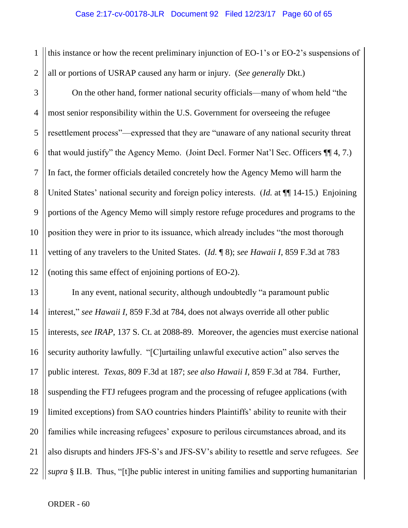1 2 this instance or how the recent preliminary injunction of EO-1's or EO-2's suspensions of all or portions of USRAP caused any harm or injury. (*See generally* Dkt.)

3 4 5 6 7 8 9 10 11 12 On the other hand, former national security officials—many of whom held "the most senior responsibility within the U.S. Government for overseeing the refugee resettlement process"—expressed that they are "unaware of any national security threat that would justify" the Agency Memo. (Joint Decl. Former Nat'l Sec. Officers ¶¶ 4, 7.) In fact, the former officials detailed concretely how the Agency Memo will harm the United States' national security and foreign policy interests. (*Id.* at ¶¶ 14-15.) Enjoining portions of the Agency Memo will simply restore refuge procedures and programs to the position they were in prior to its issuance, which already includes "the most thorough vetting of any travelers to the United States. (*Id.* ¶ 8); *see Hawaii I*, 859 F.3d at 783 (noting this same effect of enjoining portions of EO-2).

13 14 15 16 17 18 19 20 21 22 In any event, national security, although undoubtedly "a paramount public interest," *see Hawaii I*, 859 F.3d at 784, does not always override all other public interests, *see IRAP*, 137 S. Ct. at 2088-89. Moreover, the agencies must exercise national security authority lawfully. "[C]urtailing unlawful executive action" also serves the public interest. *Texas*, 809 F.3d at 187; *see also Hawaii I*, 859 F.3d at 784. Further, suspending the FTJ refugees program and the processing of refugee applications (with limited exceptions) from SAO countries hinders Plaintiffs' ability to reunite with their families while increasing refugees' exposure to perilous circumstances abroad, and its also disrupts and hinders JFS-S's and JFS-SV's ability to resettle and serve refugees. *See supra* § II.B. Thus, "[t]he public interest in uniting families and supporting humanitarian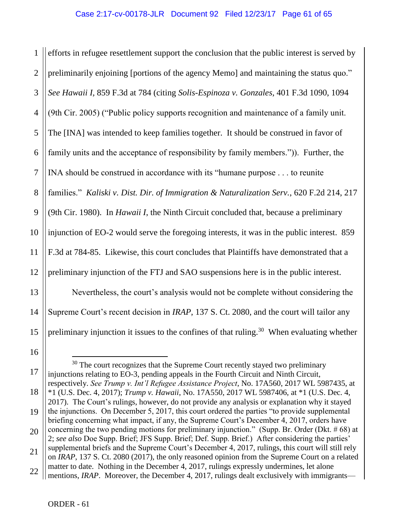1 2 3 4 5 6 7 8 9 10 11 12 13 14 15 efforts in refugee resettlement support the conclusion that the public interest is served by preliminarily enjoining [portions of the agency Memo] and maintaining the status quo." *See Hawaii I,* 859 F.3d at 784 (citing *Solis-Espinoza v. Gonzales*, 401 F.3d 1090, 1094 (9th Cir. 2005) ("Public policy supports recognition and maintenance of a family unit. The [INA] was intended to keep families together. It should be construed in favor of family units and the acceptance of responsibility by family members.")). Further, the INA should be construed in accordance with its "humane purpose . . . to reunite families." *Kaliski v. Dist. Dir. of Immigration & Naturalization Serv.*, 620 F.2d 214, 217 (9th Cir. 1980). In *Hawaii I*, the Ninth Circuit concluded that, because a preliminary injunction of EO-2 would serve the foregoing interests, it was in the public interest. 859 F.3d at 784-85. Likewise, this court concludes that Plaintiffs have demonstrated that a preliminary injunction of the FTJ and SAO suspensions here is in the public interest. Nevertheless, the court's analysis would not be complete without considering the Supreme Court's recent decision in *IRAP*, 137 S. Ct. 2080, and the court will tailor any preliminary injunction it issues to the confines of that ruling.<sup>30</sup> When evaluating whether

17

<sup>16</sup>

<sup>&</sup>lt;sup>30</sup> The court recognizes that the Supreme Court recently stayed two preliminary injunctions relating to EO-3, pending appeals in the Fourth Circuit and Ninth Circuit, respectively. *See Trump v. Int'l Refugee Assistance Project*, No. 17A560, 2017 WL 5987435, at

<sup>18</sup> \*1 (U.S. Dec. 4, 2017); *Trump v. Hawaii*, No. 17A550, 2017 WL 5987406, at \*1 (U.S. Dec. 4, 2017). The Court's rulings, however, do not provide any analysis or explanation why it stayed

<sup>19</sup> the injunctions. On December 5, 2017, this court ordered the parties "to provide supplemental briefing concerning what impact, if any, the Supreme Court's December 4, 2017, orders have concerning the two pending motions for preliminary injunction." (Supp. Br. Order (Dkt. # 68) at

<sup>20</sup> 2; *see also* Doe Supp. Brief; JFS Supp. Brief; Def. Supp. Brief.) After considering the parties'

<sup>21</sup> supplemental briefs and the Supreme Court's December 4, 2017, rulings, this court will still rely on *IRAP*, 137 S. Ct. 2080 (2017), the only reasoned opinion from the Supreme Court on a related matter to date. Nothing in the December 4, 2017, rulings expressly undermines, let alone

<sup>22</sup> mentions, *IRAP*. Moreover, the December 4, 2017, rulings dealt exclusively with immigrants—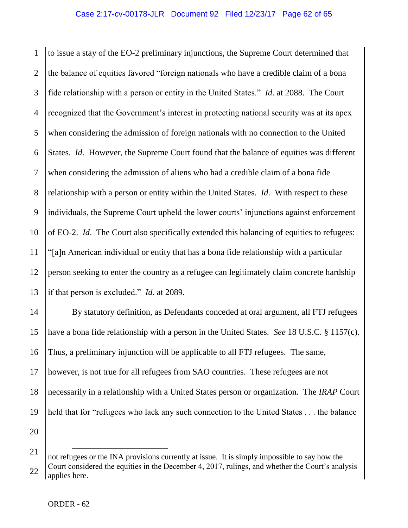1 2 3 4 5 6 7 8 9 10 11 12 13 to issue a stay of the EO-2 preliminary injunctions, the Supreme Court determined that the balance of equities favored "foreign nationals who have a credible claim of a bona fide relationship with a person or entity in the United States." *Id*. at 2088. The Court recognized that the Government's interest in protecting national security was at its apex when considering the admission of foreign nationals with no connection to the United States. *Id.* However, the Supreme Court found that the balance of equities was different when considering the admission of aliens who had a credible claim of a bona fide relationship with a person or entity within the United States. *Id*. With respect to these individuals, the Supreme Court upheld the lower courts' injunctions against enforcement of EO-2. *Id*. The Court also specifically extended this balancing of equities to refugees: "[a]n American individual or entity that has a bona fide relationship with a particular person seeking to enter the country as a refugee can legitimately claim concrete hardship if that person is excluded." *Id.* at 2089.

By statutory definition, as Defendants conceded at oral argument, all FTJ refugees have a bona fide relationship with a person in the United States. *See* 18 U.S.C. § 1157(c). Thus, a preliminary injunction will be applicable to all FTJ refugees. The same, however, is not true for all refugees from SAO countries. These refugees are not necessarily in a relationship with a United States person or organization. The *IRAP* Court held that for "refugees who lack any such connection to the United States . . . the balance

 $\overline{a}$ 

14

15

16

17

18

19

20

<sup>21</sup> 22 not refugees or the INA provisions currently at issue. It is simply impossible to say how the Court considered the equities in the December 4, 2017, rulings, and whether the Court's analysis applies here.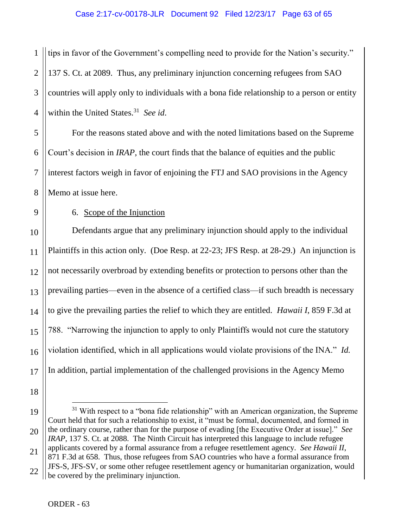1 2 3 4 tips in favor of the Government's compelling need to provide for the Nation's security." 137 S. Ct. at 2089. Thus, any preliminary injunction concerning refugees from SAO countries will apply only to individuals with a bona fide relationship to a person or entity within the United States.<sup>31</sup> See id.

5 6 8 For the reasons stated above and with the noted limitations based on the Supreme Court's decision in *IRAP*, the court finds that the balance of equities and the public interest factors weigh in favor of enjoining the FTJ and SAO provisions in the Agency Memo at issue here.

9 10 11

12

13

14

15

16

7

# 6. Scope of the Injunction

Defendants argue that any preliminary injunction should apply to the individual Plaintiffs in this action only. (Doe Resp. at 22-23; JFS Resp. at 28-29.) An injunction is not necessarily overbroad by extending benefits or protection to persons other than the prevailing parties—even in the absence of a certified class—if such breadth is necessary to give the prevailing parties the relief to which they are entitled. *Hawaii I*, 859 F.3d at 788. "Narrowing the injunction to apply to only Plaintiffs would not cure the statutory violation identified, which in all applications would violate provisions of the INA." *Id.*  In addition, partial implementation of the challenged provisions in the Agency Memo

18

17

<sup>19</sup> 20 21 22  $31$  With respect to a "bona fide relationship" with an American organization, the Supreme Court held that for such a relationship to exist, it "must be formal, documented, and formed in the ordinary course, rather than for the purpose of evading [the Executive Order at issue]." *See IRAP*, 137 S. Ct. at 2088. The Ninth Circuit has interpreted this language to include refugee applicants covered by a formal assurance from a refugee resettlement agency. *See Hawaii II*, 871 F.3d at 658. Thus, those refugees from SAO countries who have a formal assurance from JFS-S, JFS-SV, or some other refugee resettlement agency or humanitarian organization, would be covered by the preliminary injunction.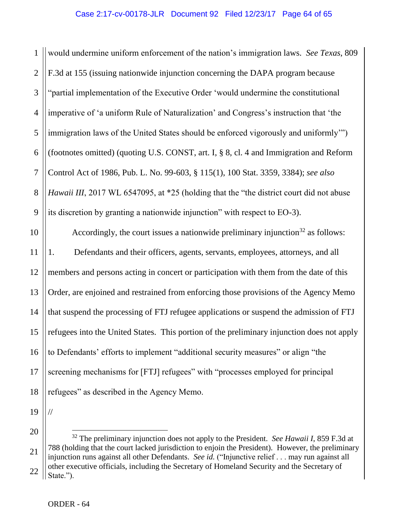1 2 3 4 5 6 7 8 9 would undermine uniform enforcement of the nation's immigration laws. *See Texas*, 809 F.3d at 155 (issuing nationwide injunction concerning the DAPA program because "partial implementation of the Executive Order 'would undermine the constitutional imperative of 'a uniform Rule of Naturalization' and Congress's instruction that 'the immigration laws of the United States should be enforced vigorously and uniformly'") (footnotes omitted) (quoting U.S. CONST, art. I, § 8, cl. 4 and Immigration and Reform Control Act of 1986, Pub. L. No. 99-603, § 115(1), 100 Stat. 3359, 3384); *see also Hawaii III*, 2017 WL 6547095, at \*25 (holding that the "the district court did not abuse its discretion by granting a nationwide injunction" with respect to EO-3).

10 11 12 13 14 15 16 17 18 Accordingly, the court issues a nationwide preliminary injunction<sup>32</sup> as follows: 1. Defendants and their officers, agents, servants, employees, attorneys, and all members and persons acting in concert or participation with them from the date of this Order, are enjoined and restrained from enforcing those provisions of the Agency Memo that suspend the processing of FTJ refugee applications or suspend the admission of FTJ refugees into the United States. This portion of the preliminary injunction does not apply to Defendants' efforts to implement "additional security measures" or align "the screening mechanisms for [FTJ] refugees" with "processes employed for principal refugees" as described in the Agency Memo.

19

//

<sup>20</sup> 21 22 <sup>32</sup> The preliminary injunction does not apply to the President. *See Hawaii I*, 859 F.3d at 788 (holding that the court lacked jurisdiction to enjoin the President). However, the preliminary injunction runs against all other Defendants. *See id.* ("Injunctive relief . . . may run against all other executive officials, including the Secretary of Homeland Security and the Secretary of State.").